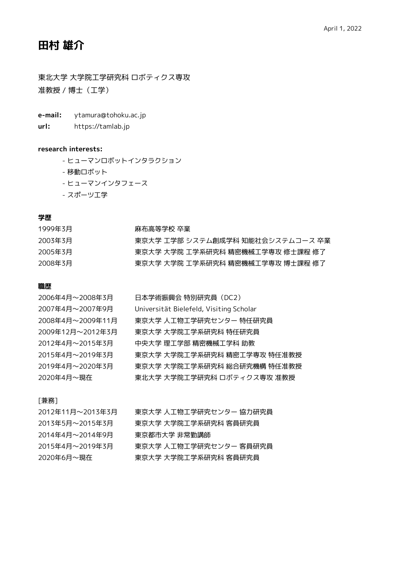# **田村 雄介**

東北大学 大学院工学研究科 ロボティクス専攻 准教授 / 博士(工学)

- **e-mail:** ytamura@tohoku.ac.jp
- **url:** https://tamlab.jp

# **research interests:**

- ヒューマンロボットインタラクション
- 移動ロボット
- ヒューマンインタフェース
- スポーツ工学

# **学歴**

| 1999年3月 | 麻布高等学校 卒業                        |
|---------|----------------------------------|
| 2003年3月 | 東京大学 T学部 システム創成学科 知能社会システムコース 卒業 |
| 2005年3月 | 東京大学 大学院 工学系研究科 精密機械工学専攻 修十課程 修了 |
| 2008年3月 | 東京大学 大学院 工学系研究科 精密機械工学専攻 博士課程 修了 |

# **職歴**

| 2006年4月~2008年3月  | 日本学術振興会 特別研究員 (DC2)                     |
|------------------|-----------------------------------------|
| 2007年4月~2007年9月  | Universität Bielefeld, Visiting Scholar |
| 2008年4月~2009年11月 | 東京大学 人工物工学研究センター 特任研究員                  |
| 2009年12月~2012年3月 | 東京大学 大学院工学系研究科 特仟研究員                    |
| 2012年4月~2015年3月  | 中央大学 理工学部 精密機械工学科 助教                    |
| 2015年4月~2019年3月  | 東京大学 大学院工学系研究科 精密工学専攻 特任准教授             |
| 2019年4月~2020年3月  | 東京大学 大学院工学系研究科 総合研究機構 特任准教授             |
| 2020年4月~現在       | 東北大学 大学院工学研究科 ロボティクス専攻 准教授              |

# [兼務]

| 2012年11月~2013年3月 | 東京大学 人工物工学研究センター 協力研究員 |
|------------------|------------------------|
| 2013年5月~2015年3月  | 東京大学 大学院工学系研究科 客員研究員   |
| 2014年4月~2014年9月  | 東京都市大学 非常勤講師           |
| 2015年4月~2019年3月  | 東京大学 人工物工学研究センター 客員研究員 |
| 2020年6月~現在       | 東京大学 大学院工学系研究科 客員研究員   |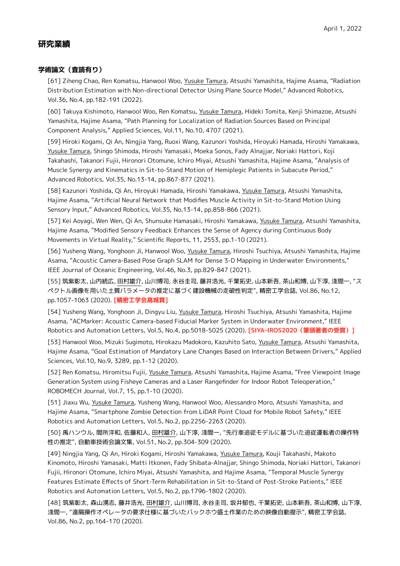# **研究業績**

# **学術論文(査読有り)**

[61] Ziheng Chao, Ren Komatsu, Hanwool Woo, Yusuke Tamura, Atsushi Yamashita, Hajime Asama, "Radiation Distribution Estimation with Non-directional Detector Using Plane Source Model," Advanced Robotics, Vol.36, No.4, pp.182-191 (2022).

[60] Takuya Kishimoto, Hanwool Woo, Ren Komatsu, Yusuke Tamura, Hideki Tomita, Kenji Shimazoe, Atsushi Yamashita, Hajime Asama, "Path Planning for Localization of Radiation Sources Based on Principal Component Analysis," Applied Sciences, Vol.11, No.10, 4707 (2021).

[59] Hiroki Kogami, Qi An, Ningjia Yang, Ruoxi Wang, Kazunori Yoshida, Hiroyuki Hamada, Hiroshi Yamakawa, Yusuke Tamura, Shingo Shimoda, Hiroshi Yamasaki, Moeka Sonos, Fady Alnajjar, Noriaki Hattori, Koji Takahashi, Takanori Fujii, Hironori Otomune, Ichiro Miyai, Atsushi Yamashita, Hajime Asama, "Analysis of Muscle Synergy and Kinematics in Sit-to-Stand Motion of Hemiplegic Patients in Subacute Period," Advanced Robotics, Vol.35, No.13-14, pp.867-877 (2021).

[58] Kazunori Yoshida, Qi An, Hiroyuki Hamada, Hiroshi Yamakawa, Yusuke Tamura, Atsushi Yamashita, Hajime Asama, "Artificial Neural Network that Modifies Muscle Activity in Sit-to-Stand Motion Using Sensory Input," Advanced Robotics, Vol.35, No.13-14, pp.858-866 (2021).

[57] Kei Aoyagi, Wen Wen, Qi An, Shunsuke Hamasaki, Hiroshi Yamakawa, Yusuke Tamura, Atsushi Yamashita, Hajime Asama, "Modified Sensory Feedback Enhances the Sense of Agency during Continuous Body Movements in Virtual Reality," Scientific Reports, 11, 2553, pp.1-10 (2021).

[56] Yusheng Wang, Yonghoon Ji, Hanwool Woo, Yusuke Tamura, Hiroshi Tsuchiya, Atsushi Yamashita, Hajime Asama, "Acoustic Camera-Based Pose Graph SLAM for Dense 3-D Mapping in Underwater Environments," IEEE Journal of Oceanic Engineering, Vol.46, No.3, pp.829-847 (2021).

[55] 筑紫彰太, 山内統広, 田村雄介, 山川博司, 永谷圭司, 藤井浩光, 千葉拓史, 山本新吾, 茶山和博, 山下淳, 淺間一, "ス ペクトル画像を用いた土質パラメータの推定に基づく建設機械の走破性判定", 精密工学会誌, Vol.86, No.12, pp.1057-1063 (2020). **[精密工学会髙城賞]**

[54] Yusheng Wang, Yonghoon Ji, Dingyu Liu, Yusuke Tamura, Hiroshi Tsuchiya, Atsushi Yamashita, Hajime Asama, "ACMarker: Acoustic Camera-based Fiducial Marker System in Underwater Environment," IEEE Robotics and Automation Letters, Vol.5, No.4, pp.5018-5025 (2020). **[SIYA-IROS2020(筆頭著者の受賞)]**

[53] Hanwool Woo, Mizuki Sugimoto, Hirokazu Madokoro, Kazuhito Sato, Yusuke Tamura, Atsushi Yamashita, Hajime Asama, "Goal Estimation of Mandatory Lane Changes Based on Interaction Between Drivers," Applied Sciences, Vol.10, No.9, 3289, pp.1-12 (2020).

[52] Ren Komatsu, Hiromitsu Fujii, Yusuke Tamura, Atsushi Yamashita, Hajime Asama, "Free Viewpoint Image Generation System using Fisheye Cameras and a Laser Rangefinder for Indoor Robot Teleoperation," ROBOMECH Journal, Vol.7, 15, pp.1-10 (2020).

[51] Jiaxu Wu, Yusuke Tamura, Yusheng Wang, Hanwool Woo, Alessandro Moro, Atsushi Yamashita, and Hajime Asama, "Smartphone Zombie Detection from LiDAR Point Cloud for Mobile Robot Safety," IEEE Robotics and Automation Letters, Vol.5, No.2, pp.2256-2263 (2020).

[50] 禹ハンウル, 間所洋和, 佐藤和人, 田村雄介, 山下淳, 淺間一, "先行車追従モデルに基づいた追従運転者の操作特 性の推定", 自動車技術会論文集, Vol.51, No.2, pp.304-309 (2020).

[49] Ningjia Yang, Qi An, Hiroki Kogami, Hiroshi Yamakawa, Yusuke Tamura, Kouji Takahashi, Makoto Kinomoto, Hiroshi Yamasaki, Matti Itkonen, Fady Shibata-Alnajjar, Shingo Shimoda, Noriaki Hattori, Takanori Fujii, Hironori Otomune, Ichiro Miyai, Atsushi Yamashita, and Hajime Asama, "Temporal Muscle Synergy Features Estimate Effects of Short-Term Rehabilitation in Sit-to-Stand of Post-Stroke Patients," IEEE Robotics and Automation Letters, Vol.5, No.2, pp.1796-1802 (2020).

[48] 筑紫彰太, 森山湧志, 藤井浩光, 田村雄介, 山川博司, 永谷圭司, 坂井郁也, 千葉拓史, 山本新吾, 茶山和博, 山下淳, 淺間一, "遠隔操作オペレータの要求仕様に基づいたバックホウ盛土作業のための映像自動提示", 精密工学会誌, Vol.86, No.2, pp.164-170 (2020).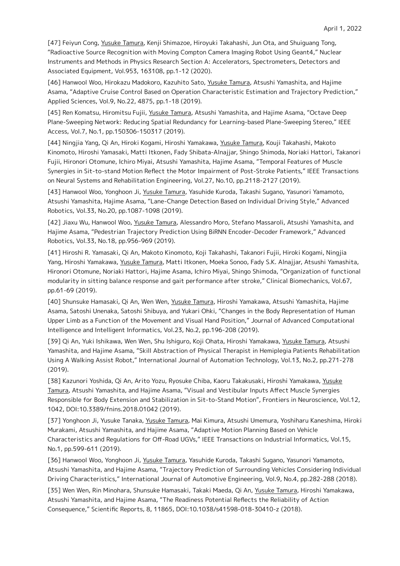[47] Feiyun Cong, Yusuke Tamura, Kenji Shimazoe, Hiroyuki Takahashi, Jun Ota, and Shuiguang Tong, "Radioactive Source Recognition with Moving Compton Camera Imaging Robot Using Geant4," Nuclear Instruments and Methods in Physics Research Section A: Accelerators, Spectrometers, Detectors and Associated Equipment, Vol.953, 163108, pp.1-12 (2020).

[46] Hanwool Woo, Hirokazu Madokoro, Kazuhito Sato, Yusuke Tamura, Atsushi Yamashita, and Hajime Asama, "Adaptive Cruise Control Based on Operation Characteristic Estimation and Trajectory Prediction," Applied Sciences, Vol.9, No.22, 4875, pp.1-18 (2019).

[45] Ren Komatsu, Hiromitsu Fujii, Yusuke Tamura, Atsushi Yamashita, and Hajime Asama, "Octave Deep Plane-Sweeping Network: Reducing Spatial Redundancy for Learning-based Plane-Sweeping Stereo," IEEE Access, Vol.7, No.1, pp.150306-150317 (2019).

[44] Ningjia Yang, Qi An, Hiroki Kogami, Hiroshi Yamakawa, Yusuke Tamura, Kouji Takahashi, Makoto Kinomoto, Hiroshi Yamasaki, Matti Itkonen, Fady Shibata-Alnajjar, Shingo Shimoda, Noriaki Hattori, Takanori Fujii, Hironori Otomune, Ichiro Miyai, Atsushi Yamashita, Hajime Asama, "Temporal Features of Muscle Synergies in Sit-to-stand Motion Reflect the Motor Impairment of Post-Stroke Patients," IEEE Transactions on Neural Systems and Rehabilitation Engineering, Vol.27, No.10, pp.2118-2127 (2019).

[43] Hanwool Woo, Yonghoon Ji, Yusuke Tamura, Yasuhide Kuroda, Takashi Sugano, Yasunori Yamamoto, Atsushi Yamashita, Hajime Asama, "Lane-Change Detection Based on Individual Driving Style," Advanced Robotics, Vol.33, No.20, pp.1087-1098 (2019).

[42] Jiaxu Wu, Hanwool Woo, Yusuke Tamura, Alessandro Moro, Stefano Massaroli, Atsushi Yamashita, and Hajime Asama, "Pedestrian Trajectory Prediction Using BiRNN Encoder-Decoder Framework," Advanced Robotics, Vol.33, No.18, pp.956-969 (2019).

[41] Hiroshi R. Yamasaki, Qi An, Makoto Kinomoto, Koji Takahashi, Takanori Fujii, Hiroki Kogami, Ningjia Yang, Hiroshi Yamakawa, Yusuke Tamura, Matti Itkonen, Moeka Sonoo, Fady S.K. Alnajjar, Atsushi Yamashita, Hironori Otomune, Noriaki Hattori, Hajime Asama, Ichiro Miyai, Shingo Shimoda, "Organization of functional modularity in sitting balance response and gait performance after stroke," Clinical Biomechanics, Vol.67, pp.61-69 (2019).

[40] Shunsuke Hamasaki, Qi An, Wen Wen, Yusuke Tamura, Hiroshi Yamakawa, Atsushi Yamashita, Hajime Asama, Satoshi Unenaka, Satoshi Shibuya, and Yukari Ohki, "Changes in the Body Representation of Human Upper Limb as a Function of the Movement and Visual Hand Position," Journal of Advanced Computational Intelligence and Intelligent Informatics, Vol.23, No.2, pp.196-208 (2019).

[39] Qi An, Yuki Ishikawa, Wen Wen, Shu Ishiguro, Koji Ohata, Hiroshi Yamakawa, Yusuke Tamura, Atsushi Yamashita, and Hajime Asama, "Skill Abstraction of Physical Therapist in Hemiplegia Patients Rehabilitation Using A Walking Assist Robot," International Journal of Automation Technology, Vol.13, No.2, pp.271-278 (2019).

[38] Kazunori Yoshida, Qi An, Arito Yozu, Ryosuke Chiba, Kaoru Takakusaki, Hiroshi Yamakawa, Yusuke Tamura, Atsushi Yamashita, and Hajime Asama, "Visual and Vestibular Inputs Affect Muscle Synergies Responsible for Body Extension and Stabilization in Sit-to-Stand Motion", Frontiers in Neuroscience, Vol.12, 1042, DOI:10.3389/fnins.2018.01042 (2019).

[37] Yonghoon Ji, Yusuke Tanaka, Yusuke Tamura, Mai Kimura, Atsushi Umemura, Yoshiharu Kaneshima, Hiroki Murakami, Atsushi Yamashita, and Hajime Asama, "Adaptive Motion Planning Based on Vehicle Characteristics and Regulations for Off-Road UGVs," IEEE Transactions on Industrial Informatics, Vol.15, No.1, pp.599-611 (2019).

[36] Hanwool Woo, Yonghoon Ji, Yusuke Tamura, Yasuhide Kuroda, Takashi Sugano, Yasunori Yamamoto, Atsushi Yamashita, and Hajime Asama, "Trajectory Prediction of Surrounding Vehicles Considering Individual Driving Characteristics," International Journal of Automotive Engineering, Vol.9, No.4, pp.282-288 (2018).

[35] Wen Wen, Rin Minohara, Shunsuke Hamasaki, Takaki Maeda, Qi An, Yusuke Tamura, Hiroshi Yamakawa, Atsushi Yamashita, and Hajime Asama, "The Readiness Potential Reflects the Reliability of Action Consequence," Scientific Reports, 8, 11865, DOI:10.1038/s41598-018-30410-z (2018).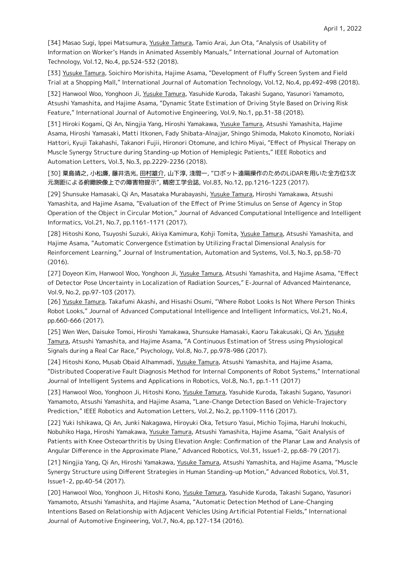[34] Masao Sugi, Ippei Matsumura, Yusuke Tamura, Tamio Arai, Jun Ota, "Analysis of Usability of Information on Worker's Hands in Animated Assembly Manuals," International Journal of Automation Technology, Vol.12, No.4, pp.524-532 (2018).

[33] Yusuke Tamura, Soichiro Morishita, Hajime Asama, "Development of Fluffy Screen System and Field Trial at a Shopping Mall," International Journal of Automation Technology, Vol.12, No.4, pp.492-498 (2018).

[32] Hanwool Woo, Yonghoon Ji, Yusuke Tamura, Yasuhide Kuroda, Takashi Sugano, Yasunori Yamamoto, Atsushi Yamashita, and Hajime Asama, "Dynamic State Estimation of Driving Style Based on Driving Risk Feature," International Journal of Automotive Engineering, Vol.9, No.1, pp.31-38 (2018).

[31] Hiroki Kogami, Qi An, Ningjia Yang, Hiroshi Yamakawa, Yusuke Tamura, Atsushi Yamashita, Hajime Asama, Hiroshi Yamasaki, Matti Itkonen, Fady Shibata-Alnajjar, Shingo Shimoda, Makoto Kinomoto, Noriaki Hattori, Kyuji Takahashi, Takanori Fujii, Hironori Otomune, and Ichiro Miyai, "Effect of Physical Therapy on Muscle Synergy Structure during Standing-up Motion of Hemiplegic Patients," IEEE Robotics and Automation Letters, Vol.3, No.3, pp.2229-2236 (2018).

[30] 粟島靖之, 小松廉, 藤井浩光, 田村雄介, 山下淳, 淺間一, "ロボット遠隔操作のためのLiDARを用いた全方位3次 元測距による俯瞰映像上での障害物提示", 精密工学会誌, Vol.83, No.12, pp.1216-1223 (2017).

[29] Shunsuke Hamasaki, Qi An, Masataka Murabayashi, Yusuke Tamura, Hiroshi Yamakawa, Atsushi Yamashita, and Hajime Asama, "Evaluation of the Effect of Prime Stimulus on Sense of Agency in Stop Operation of the Object in Circular Motion," Journal of Advanced Computational Intelligence and Intelligent Informatics, Vol.21, No.7, pp.1161-1171 (2017).

[28] Hitoshi Kono, Tsuyoshi Suzuki, Akiya Kamimura, Kohji Tomita, Yusuke Tamura, Atsushi Yamashita, and Hajime Asama, "Automatic Convergence Estimation by Utilizing Fractal Dimensional Analysis for Reinforcement Learning," Journal of Instrumentation, Automation and Systems, Vol.3, No.3, pp.58-70 (2016).

[27] Doyeon Kim, Hanwool Woo, Yonghoon Ji, Yusuke Tamura, Atsushi Yamashita, and Hajime Asama, "Effect of Detector Pose Uncertainty in Localization of Radiation Sources," E-Journal of Advanced Maintenance, Vol.9, No.2, pp.97-103 (2017).

[26] Yusuke Tamura, Takafumi Akashi, and Hisashi Osumi, "Where Robot Looks Is Not Where Person Thinks Robot Looks," Journal of Advanced Computational Intelligence and Intelligent Informatics, Vol.21, No.4, pp.660-666 (2017).

[25] Wen Wen, Daisuke Tomoi, Hiroshi Yamakawa, Shunsuke Hamasaki, Kaoru Takakusaki, Qi An, Yusuke Tamura, Atsushi Yamashita, and Hajime Asama, "A Continuous Estimation of Stress using Physiological Signals during a Real Car Race," Psychology, Vol.8, No.7, pp.978-986 (2017).

[24] Hitoshi Kono, Musab Obaid Alhammadi, Yusuke Tamura, Atsushi Yamashita, and Hajime Asama, "Distributed Cooperative Fault Diagnosis Method for Internal Components of Robot Systems," International Journal of Intelligent Systems and Applications in Robotics, Vol.8, No.1, pp.1-11 (2017)

[23] Hanwool Woo, Yonghoon Ji, Hitoshi Kono, Yusuke Tamura, Yasuhide Kuroda, Takashi Sugano, Yasunori Yamamoto, Atsushi Yamashita, and Hajime Asama, "Lane-Change Detection Based on Vehicle-Trajectory Prediction," IEEE Robotics and Automation Letters, Vol.2, No.2, pp.1109-1116 (2017).

[22] Yuki Ishikawa, Qi An, Junki Nakagawa, Hiroyuki Oka, Tetsuro Yasui, Michio Tojima, Haruhi Inokuchi, Nobuhiko Haga, Hiroshi Yamakawa, Yusuke Tamura, Atsushi Yamashita, Hajime Asama, "Gait Analysis of Patients with Knee Osteoarthritis by Using Elevation Angle: Confirmation of the Planar Law and Analysis of Angular Difference in the Approximate Plane," Advanced Robotics, Vol.31, Issue1-2, pp.68-79 (2017).

[21] Ningjia Yang, Qi An, Hiroshi Yamakawa, Yusuke Tamura, Atsushi Yamashita, and Hajime Asama, "Muscle Synergy Structure using Different Strategies in Human Standing-up Motion," Advanced Robotics, Vol.31, Issue1-2, pp.40-54 (2017).

[20] Hanwool Woo, Yonghoon Ji, Hitoshi Kono, Yusuke Tamura, Yasuhide Kuroda, Takashi Sugano, Yasunori Yamamoto, Atsushi Yamashita, and Hajime Asama, "Automatic Detection Method of Lane-Changing Intentions Based on Relationship with Adjacent Vehicles Using Artificial Potential Fields," International Journal of Automotive Engineering, Vol.7, No.4, pp.127-134 (2016).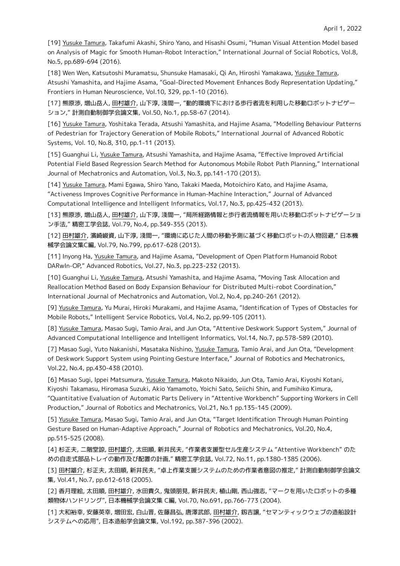[19] Yusuke Tamura, Takafumi Akashi, Shiro Yano, and Hisashi Osumi, "Human Visual Attention Model based on Analysis of Magic for Smooth Human-Robot Interaction," International Journal of Social Robotics, Vol.8, No.5, pp.689-694 (2016).

[18] Wen Wen, Katsutoshi Muramatsu, Shunsuke Hamasaki, Qi An, Hiroshi Yamakawa, Yusuke Tamura, Atsushi Yamashita, and Hajime Asama, "Goal-Directed Movement Enhances Body Representation Updating," Frontiers in Human Neuroscience, Vol.10, 329, pp.1-10 (2016).

[17] 熊原渉, 増山岳人, 田村雄介, 山下淳, 淺間一, "動的環境下における歩行者流を利用した移動ロボットナビゲー ション," 計測自動制御学会論文集, Vol.50, No.1, pp.58-67 (2014).

[16] Yusuke Tamura, Yoshitaka Terada, Atsushi Yamashita, and Hajime Asama, "Modelling Behaviour Patterns of Pedestrian for Trajectory Generation of Mobile Robots," International Journal of Advanced Robotic Systems, Vol. 10, No.8, 310, pp.1-11 (2013).

[15] Guanghui Li, Yusuke Tamura, Atsushi Yamashita, and Hajime Asama, "Effective Improved Artificial Potential Field Based Regression Search Method for Autonomous Mobile Robot Path Planning," International Journal of Mechatronics and Automation, Vol.3, No.3, pp.141-170 (2013).

[14] Yusuke Tamura, Mami Egawa, Shiro Yano, Takaki Maeda, Motoichiro Kato, and Hajime Asama, "Activeness Improves Cognitive Performance in Human-Machine Interaction," Journal of Advanced Computational Intelligence and Intelligent Informatics, Vol.17, No.3, pp.425-432 (2013).

[13] 熊原渉, 増山岳人, 田村雄介, 山下淳, 淺間一, "局所経路情報と歩行者流情報を用いた移動ロボットナビゲーショ ン手法," 精密工学会誌, Vol.79, No.4, pp.349-355 (2013).

[12] 田村雄介, 濱崎峻資, 山下淳, 淺間一, "環境に応じた人間の移動予測に基づく移動ロボットの人物回避," 日本機 械学会論文集C編, Vol.79, No.799, pp.617-628 (2013).

[11] Inyong Ha, Yusuke Tamura, and Hajime Asama, "Development of Open Platform Humanoid Robot DARwIn-OP," Advanced Robotics, Vol.27, No.3, pp.223-232 (2013).

[10] Guanghui Li, Yusuke Tamura, Atsushi Yamashita, and Hajime Asama, "Moving Task Allocation and Reallocation Method Based on Body Expansion Behaviour for Distributed Multi-robot Coordination," International Journal of Mechatronics and Automation, Vol.2, No.4, pp.240-261 (2012).

[9] Yusuke Tamura, Yu Murai, Hiroki Murakami, and Hajime Asama, "Identification of Types of Obstacles for Mobile Robots," Intelligent Service Robotics, Vol.4, No.2, pp.99-105 (2011).

[8] Yusuke Tamura, Masao Sugi, Tamio Arai, and Jun Ota, "Attentive Deskwork Support System," Journal of Advanced Computational Intelligence and Intelligent Informatics, Vol.14, No.7, pp.578-589 (2010).

[7] Masao Sugi, Yuto Nakanishi, Masataka Nishino, Yusuke Tamura, Tamio Arai, and Jun Ota, "Development of Deskwork Support System using Pointing Gesture Interface," Journal of Robotics and Mechatronics, Vol.22, No.4, pp.430-438 (2010).

[6] Masao Sugi, Ippei Matsumura, Yusuke Tamura, Makoto Nikaido, Jun Ota, Tamio Arai, Kiyoshi Kotani, Kiyoshi Takamasu, Hiromasa Suzuki, Akio Yamamoto, Yoichi Sato, Seiichi Shin, and Fumihiko Kimura, "Quantitative Evaluation of Automatic Parts Delivery in "Attentive Workbench" Supporting Workers in Cell Production," Journal of Robotics and Mechatronics, Vol.21, No.1 pp.135-145 (2009).

[5] Yusuke Tamura, Masao Sugi, Tamio Arai, and Jun Ota, "Target Identification Through Human Pointing Gesture Based on Human-Adaptive Approach," Journal of Robotics and Mechatronics, Vol.20, No.4, pp.515-525 (2008).

[4] 杉正夫, 二階堂諒, 田村雄介, 太田順, 新井民夫, "作業者支援型セル生産システム "Attentive Workbench" のた めの自走式部品トレイの動作及び配置の計画," 精密工学会誌, Vol.72, No.11, pp.1380-1385 (2006).

[3] 田村雄介, 杉正夫, 太田順, 新井民夫, "卓上作業支援システムのための作業者意図の推定," 計測自動制御学会論文 集, Vol.41, No.7, pp.612-618 (2005).

[2] 香月理絵, 太田順, 田村雄介, 水田貴久, 鬼頭朋見, 新井民夫, 植山剛, 西山強志, "マークを用いたロボットの多種 類物体ハンドリング", 日本機械学会論文集 C編, Vol.70, No.691, pp.766-773 (2004).

[1] 大和裕幸, 安藤英幸, 増田宏, 白山晋, 佐藤昌弘, 唐澤武郎, 田村雄介, 釼吉譲, "セマンティックウェブの造船設計 システムへの応用", 日本造船学会論文集, Vol.192, pp.387-396 (2002).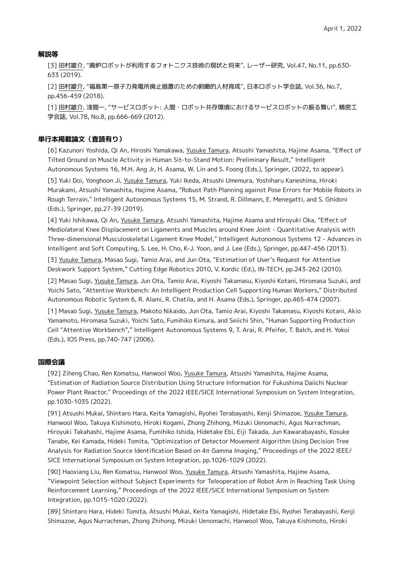## **解説等**

[3] 田村雄介, "廃炉ロボットが利用するフォトニクス技術の現状と将来", レーザー研究, Vol.47, No.11, pp.630- 633 (2019).

[2] 田村雄介, "福島第一原子力発電所廃止措置のための俯瞰的人材育成", 日本ロボット学会誌, Vol.36, No.7, pp.456-459 (2018).

[1] 田村雄介, 淺間一, "サービスロボット: 人間・ロボット共存環境におけるサービスロボットの振る舞い", 精密工 学会誌, Vol.78, No.8, pp.666-669 (2012).

## **単行本掲載論文(査読有り)**

[6] Kazunori Yoshida, Qi An, Hiroshi Yamakawa, Yusuke Tamura, Atsushi Yamashita, Hajime Asama, "Effect of Tilted Ground on Muscle Activity in Human Sit-to-Stand Motion: Preliminary Result," Intelligent Autonomous Systems 16, M.H. Ang Jr, H. Asama, W. Lin and S. Foong (Eds.), Springer, (2022, to appear).

[5] Yuki Doi, Yonghoon Ji, Yusuke Tamura, Yuki Ikeda, Atsushi Umemura, Yoshiharu Kaneshima, Hiroki Murakami, Atsushi Yamashita, Hajime Asama, "Robust Path Planning against Pose Errors for Mobile Robots in Rough Terrain," Intelligent Autonomous Systems 15, M. Strand, R. Dillmann, E. Menegatti, and S. Ghidoni (Eds.), Springer, pp.27-39 (2019).

[4] Yuki Ishikawa, Qi An, Yusuke Tamura, Atsushi Yamashita, Hajime Asama and Hiroyuki Oka, "Effect of Mediolateral Knee Displacement on Ligaments and Muscles around Knee Joint - Quantitative Analysis with Three-dimensional Musculoskeletal Ligament Knee Model," Intelligent Autonomous Systems 12 - Advances in Intelligent and Soft Computing, S. Lee, H. Cho, K-J. Yoon, and J. Lee (Eds.), Springer, pp.447-456 (2013).

[3] Yusuke Tamura, Masao Sugi, Tamio Arai, and Jun Ota, "Estimation of User's Request for Attentive Deskwork Support System," Cutting Edge Robotics 2010, V. Kordic (Ed.), IN-TECH, pp.243-262 (2010).

[2] Masao Sugi, Yusuke Tamura, Jun Ota, Tamio Arai, Kiyoshi Takamasu, Kiyoshi Kotani, Hiromasa Suzuki, and Yoichi Sato, "Attentive Workbench: An Intelligent Production Cell Supporting Human Workers," Distributed Autonomous Robotic System 6, R. Alami, R. Chatila, and H. Asama (Eds.), Springer, pp.465-474 (2007).

[1] Masao Sugi, Yusuke Tamura, Makoto Nikaido, Jun Ota, Tamio Arai, Kiyoshi Takamasu, Kiyoshi Kotani, Akio Yamamoto, Hiromasa Suzuki, Yoichi Sato, Fumihiko Kimura, and Seiichi Shin, "Human Supporting Production Cell "Attentive Workbench"," Intelligent Autonomous Systems 9, T. Arai, R. Pfeifer, T. Balch, and H. Yokoi (Eds.), IOS Press, pp.740-747 (2006).

## **国際会議**

[92] Ziheng Chao, Ren Komatsu, Hanwool Woo, Yusuke Tamura, Atsushi Yamashita, Hajime Asama, "Estimation of Radiation Source Distribution Using Structure Information for Fukushima Daiichi Nuclear Power Plant Reactor," Proceedings of the 2022 IEEE/SICE International Symposium on System Integration, pp.1030-1035 (2022).

[91] Atsushi Mukai, Shintaro Hara, Keita Yamagishi, Ryohei Terabayashi, Kenji Shimazoe, Yusuke Tamura, Hanwool Woo, Takuya Kishimoto, Hiroki Kogami, Zhong Zhihong, Mizuki Uenomachi, Agus Nurrachman, Hiroyuki Takahashi, Hajime Asama, Fumihiko Ishida, Hidetake Ebi, Eiji Takada, Jun Kawarabayashi, Kosuke Tanabe, Kei Kamada, Hideki Tomita, "Optimization of Detector Movement Algorithm Using Decision Tree Analysis for Radiation Source Identification Based on 4π Gamma Imaging," Proceedings of the 2022 IEEE/ SICE International Symposium on System Integration, pp.1026-1029 (2022).

[90] Haoxiang Liu, Ren Komatsu, Hanwool Woo, Yusuke Tamura, Atsushi Yamashita, Hajime Asama, "Viewpoint Selection without Subject Experiments for Teleoperation of Robot Arm in Reaching Task Using Reinforcement Learning," Proceedings of the 2022 IEEE/SICE International Symposium on System Integration, pp.1015-1020 (2022).

[89] Shintaro Hara, Hideki Tomita, Atsushi Mukai, Keita Yamagishi, Hidetake Ebi, Ryohei Terabayashi, Kenji Shimazoe, Agus Nurrachman, Zhong Zhihong, Mizuki Uenomachi, Hanwool Woo, Takuya Kishimoto, Hiroki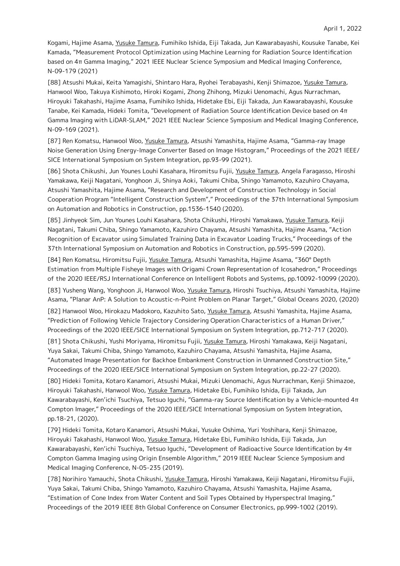Kogami, Hajime Asama, Yusuke Tamura, Fumihiko Ishida, Eiji Takada, Jun Kawarabayashi, Kousuke Tanabe, Kei Kamada, "Measurement Protocol Optimization using Machine Learning for Radiation Source Identification based on 4π Gamma Imaging," 2021 IEEE Nuclear Science Symposium and Medical Imaging Conference, N-09-179 (2021)

[88] Atsushi Mukai, Keita Yamagishi, Shintaro Hara, Ryohei Terabayashi, Kenji Shimazoe, Yusuke Tamura, Hanwool Woo, Takuya Kishimoto, Hiroki Kogami, Zhong Zhihong, Mizuki Uenomachi, Agus Nurrachman, Hiroyuki Takahashi, Hajime Asama, Fumihiko Ishida, Hidetake Ebi, Eiji Takada, Jun Kawarabayashi, Kousuke Tanabe, Kei Kamada, Hideki Tomita, "Development of Radiation Source Identification Device based on 4π Gamma Imaging with LiDAR-SLAM," 2021 IEEE Nuclear Science Symposium and Medical Imaging Conference, N-09-169 (2021).

[87] Ren Komatsu, Hanwool Woo, Yusuke Tamura, Atsushi Yamashita, Hajime Asama, "Gamma-ray Image Noise Generation Using Energy-Image Converter Based on Image Histogram," Proceedings of the 2021 IEEE/ SICE International Symposium on System Integration, pp.93-99 (2021).

[86] Shota Chikushi, Jun Younes Louhi Kasahara, Hiromitsu Fujii, Yusuke Tamura, Angela Faragasso, Hiroshi Yamakawa, Keiji Nagatani, Yonghoon Ji, Shinya Aoki, Takumi Chiba, Shingo Yamamoto, Kazuhiro Chayama, Atsushi Yamashita, Hajime Asama, "Research and Development of Construction Technology in Social Cooperation Program "Intelligent Construction System"," Proceedings of the 37th International Symposium on Automation and Robotics in Construction, pp.1536-1540 (2020).

[85] Jinhyeok Sim, Jun Younes Louhi Kasahara, Shota Chikushi, Hiroshi Yamakawa, Yusuke Tamura, Keiji Nagatani, Takumi Chiba, Shingo Yamamoto, Kazuhiro Chayama, Atsushi Yamashita, Hajime Asama, "Action Recognition of Excavator using Simulated Training Data in Excavator Loading Trucks," Proceedings of the 37th International Symposium on Automation and Robotics in Construction, pp.595-599 (2020).

[84] Ren Komatsu, Hiromitsu Fujii, Yusuke Tamura, Atsushi Yamashita, Hajime Asama, "360° Depth Estimation from Multiple Fisheye Images with Origami Crown Representation of Icosahedron," Proceedings of the 2020 IEEE/RSJ International Conference on Intelligent Robots and Systems, pp.10092-10099 (2020).

[83] Yusheng Wang, Yonghoon Ji, Hanwool Woo, Yusuke Tamura, Hiroshi Tsuchiya, Atsushi Yamashita, Hajime Asama, "Planar AnP: A Solution to Acoustic-n-Point Problem on Planar Target," Global Oceans 2020, (2020)

[82] Hanwool Woo, Hirokazu Madokoro, Kazuhito Sato, Yusuke Tamura, Atsushi Yamashita, Hajime Asama, "Prediction of Following Vehicle Trajectory Considering Operation Characteristics of a Human Driver," Proceedings of the 2020 IEEE/SICE International Symposium on System Integration, pp.712-717 (2020).

[81] Shota Chikushi, Yushi Moriyama, Hiromitsu Fujii, Yusuke Tamura, Hiroshi Yamakawa, Keiji Nagatani, Yuya Sakai, Takumi Chiba, Shingo Yamamoto, Kazuhiro Chayama, Atsushi Yamashita, Hajime Asama, "Automated Image Presentation for Backhoe Embankment Construction in Unmanned Construction Site," Proceedings of the 2020 IEEE/SICE International Symposium on System Integration, pp.22-27 (2020).

[80] Hideki Tomita, Kotaro Kanamori, Atsushi Mukai, Mizuki Uenomachi, Agus Nurrachman, Kenji Shimazoe, Hiroyuki Takahashi, Hanwool Woo, Yusuke Tamura, Hidetake Ebi, Fumihiko Ishida, Eiji Takada, Jun Kawarabayashi, Ken'ichi Tsuchiya, Tetsuo Iguchi, "Gamma-ray Source Identification by a Vehicle-mounted 4π Compton Imager," Proceedings of the 2020 IEEE/SICE International Symposium on System Integration, pp.18-21, (2020).

[79] Hideki Tomita, Kotaro Kanamori, Atsushi Mukai, Yusuke Oshima, Yuri Yoshihara, Kenji Shimazoe, Hiroyuki Takahashi, Hanwool Woo, Yusuke Tamura, Hidetake Ebi, Fumihiko Ishida, Eiji Takada, Jun Kawarabayashi, Ken'ichi Tsuchiya, Tetsuo Iguchi, "Development of Radioactive Source Identification by 4π Compton Gamma Imaging using Origin Ensemble Algorithm," 2019 IEEE Nuclear Science Symposium and Medical Imaging Conference, N-05-235 (2019).

[78] Norihiro Yamauchi, Shota Chikushi, Yusuke Tamura, Hiroshi Yamakawa, Keiji Nagatani, Hiromitsu Fujii, Yuya Sakai, Takumi Chiba, Shingo Yamamoto, Kazuhiro Chayama, Atsushi Yamashita, Hajime Asama, "Estimation of Cone Index from Water Content and Soil Types Obtained by Hyperspectral Imaging," Proceedings of the 2019 IEEE 8th Global Conference on Consumer Electronics, pp.999-1002 (2019).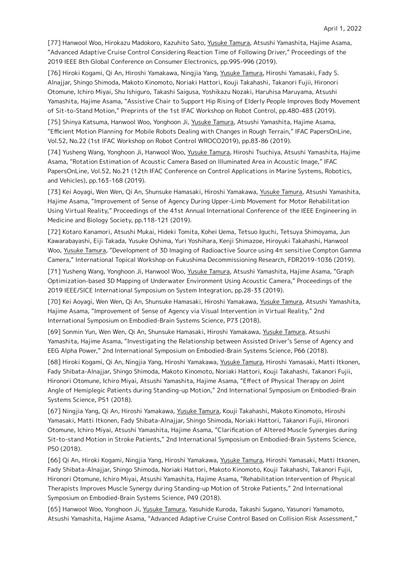[77] Hanwool Woo, Hirokazu Madokoro, Kazuhito Sato, Yusuke Tamura, Atsushi Yamashita, Hajime Asama, "Advanced Adaptive Cruise Control Considering Reaction Time of Following Driver," Proceedings of the 2019 IEEE 8th Global Conference on Consumer Electronics, pp.995-996 (2019).

[76] Hiroki Kogami, Qi An, Hiroshi Yamakawa, Ningjia Yang, Yusuke Tamura, Hiroshi Yamasaki, Fady S. Alnajjar, Shingo Shimoda, Makoto Kinomoto, Noriaki Hattori, Kouji Takahashi, Takanori Fujii, Hironori Otomune, Ichiro Miyai, Shu Ishiguro, Takashi Saigusa, Yoshikazu Nozaki, Haruhisa Maruyama, Atsushi Yamashita, Hajime Asama, "Assistive Chair to Support Hip Rising of Elderly People Improves Body Movement of Sit-to-Stand Motion," Preprints of the 1st IFAC Workshop on Robot Control, pp.480-483 (2019).

[75] Shinya Katsuma, Hanwool Woo, Yonghoon Ji, Yusuke Tamura, Atsushi Yamashita, Hajime Asama, "Efficient Motion Planning for Mobile Robots Dealing with Changes in Rough Terrain," IFAC PapersOnLine, Vol.52, No.22 (1st IFAC Workshop on Robot Control WROCO2019), pp.83-86 (2019).

[74] Yusheng Wang, Yonghoon Ji, Hanwool Woo, Yusuke Tamura, Hiroshi Tsuchiya, Atsushi Yamashita, Hajime Asama, "Rotation Estimation of Acoustic Camera Based on Illuminated Area in Acoustic Image," IFAC PapersOnLine, Vol.52, No.21 (12th IFAC Conference on Control Applications in Marine Systems, Robotics, and Vehicles), pp.163-168 (2019).

[73] Kei Aoyagi, Wen Wen, Qi An, Shunsuke Hamasaki, Hiroshi Yamakawa, Yusuke Tamura, Atsushi Yamashita, Hajime Asama, "Improvement of Sense of Agency During Upper-Limb Movement for Motor Rehabilitation Using Virtual Reality," Proceedings of the 41st Annual International Conference of the IEEE Engineering in Medicine and Biology Society, pp.118-121 (2019).

[72] Kotaro Kanamori, Atsushi Mukai, Hideki Tomita, Kohei Uema, Tetsuo Iguchi, Tetsuya Shimoyama, Jun Kawarabayashi, Eiji Takada, Yusuke Oshima, Yuri Yoshihara, Kenji Shimazoe, Hiroyuki Takahashi, Hanwool Woo, Yusuke Tamura, "Development of 3D Imaging of Radioactive Source using 4π sensitive Compton Gamma Camera," International Topical Workshop on Fukushima Decommissioning Research, FDR2019-1036 (2019).

[71] Yusheng Wang, Yonghoon Ji, Hanwool Woo, Yusuke Tamura, Atsushi Yamashita, Hajime Asama, "Graph Optimization-based 3D Mapping of Underwater Environment Using Acoustic Camera," Proceedings of the 2019 IEEE/SICE International Symposium on System Integration, pp.28-33 (2019).

[70] Kei Aoyagi, Wen Wen, Qi An, Shunsuke Hamasaki, Hiroshi Yamakawa, Yusuke Tamura, Atsushi Yamashita, Hajime Asama, "Improvement of Sense of Agency via Visual Intervention in Virtual Reality," 2nd International Symposium on Embodied-Brain Systems Science, P73 (2018).

[69] Sonmin Yun, Wen Wen, Qi An, Shunsuke Hamasaki, Hiroshi Yamakawa, Yusuke Tamura, Atsushi Yamashita, Hajime Asama, "Investigating the Relationship between Assisted Driver's Sense of Agency and EEG Alpha Power," 2nd International Symposium on Embodied-Brain Systems Science, P66 (2018).

[68] Hiroki Kogami, Qi An, Ningjia Yang, Hiroshi Yamakawa, Yusuke Tamura, Hiroshi Yamasaki, Matti Itkonen, Fady Shibata-Alnajjar, Shingo Shimoda, Makoto Kinomoto, Noriaki Hattori, Kouji Takahashi, Takanori Fujii, Hironori Otomune, Ichiro Miyai, Atsushi Yamashita, Hajime Asama, "Effect of Physical Therapy on Joint Angle of Hemiplegic Patients during Standing-up Motion," 2nd International Symposium on Embodied-Brain Systems Science, P51 (2018).

[67] Ningjia Yang, Qi An, Hiroshi Yamakawa, Yusuke Tamura, Kouji Takahashi, Makoto Kinomoto, Hiroshi Yamasaki, Matti Itkonen, Fady Shibata-Alnajjar, Shingo Shimoda, Noriaki Hattori, Takanori Fujii, Hironori Otomune, Ichiro Miyai, Atsushi Yamashita, Hajime Asama, "Clarification of Altered Muscle Synergies during Sit-to-stand Motion in Stroke Patients," 2nd International Symposium on Embodied-Brain Systems Science, P50 (2018).

[66] Qi An, Hiroki Kogami, Ningjia Yang, Hiroshi Yamakawa, Yusuke Tamura, Hiroshi Yamasaki, Matti Itkonen, Fady Shibata-Alnajjar, Shingo Shimoda, Noriaki Hattori, Makoto Kinomoto, Kouji Takahashi, Takanori Fujii, Hironori Otomune, Ichiro Miyai, Atsushi Yamashita, Hajime Asama, "Rehabilitation Intervention of Physical Therapists Improves Muscle Synergy during Standing-up Motion of Stroke Patients," 2nd International Symposium on Embodied-Brain Systems Science, P49 (2018).

[65] Hanwool Woo, Yonghoon Ji, Yusuke Tamura, Yasuhide Kuroda, Takashi Sugano, Yasunori Yamamoto, Atsushi Yamashita, Hajime Asama, "Advanced Adaptive Cruise Control Based on Collision Risk Assessment,"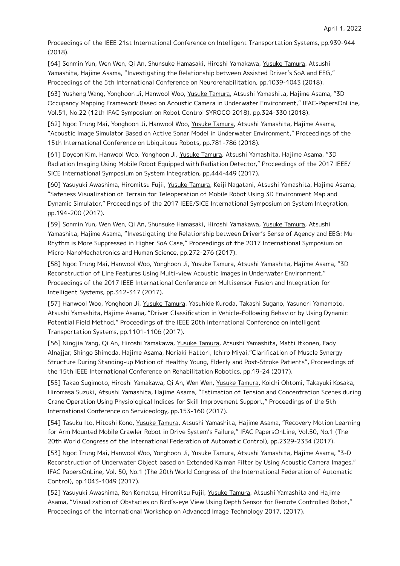Proceedings of the IEEE 21st International Conference on Intelligent Transportation Systems, pp.939-944 (2018).

[64] Sonmin Yun, Wen Wen, Qi An, Shunsuke Hamasaki, Hiroshi Yamakawa, Yusuke Tamura, Atsushi Yamashita, Hajime Asama, "Investigating the Relationship between Assisted Driver's SoA and EEG," Proceedings of the 5th International Conference on Neurorehabilitation, pp.1039-1043 (2018).

[63] Yusheng Wang, Yonghoon Ji, Hanwool Woo, Yusuke Tamura, Atsushi Yamashita, Hajime Asama, "3D Occupancy Mapping Framework Based on Acoustic Camera in Underwater Environment," IFAC-PapersOnLine, Vol.51, No.22 (12th IFAC Symposium on Robot Control SYROCO 2018), pp.324-330 (2018).

[62] Ngoc Trung Mai, Yonghoon Ji, Hanwool Woo, Yusuke Tamura, Atsushi Yamashita, Hajime Asama, "Acoustic Image Simulator Based on Active Sonar Model in Underwater Environment," Proceedings of the 15th International Conference on Ubiquitous Robots, pp.781-786 (2018).

[61] Doyeon Kim, Hanwool Woo, Yonghoon Ji, Yusuke Tamura, Atsushi Yamashita, Hajime Asama, "3D Radiation Imaging Using Mobile Robot Equipped with Radiation Detector," Proceedings of the 2017 IEEE/ SICE International Symposium on System Integration, pp.444-449 (2017).

[60] Yasuyuki Awashima, Hiromitsu Fujii, Yusuke Tamura, Keiji Nagatani, Atsushi Yamashita, Hajime Asama, "Safeness Visualization of Terrain for Teleoperation of Mobile Robot Using 3D Environment Map and Dynamic Simulator," Proceedings of the 2017 IEEE/SICE International Symposium on System Integration, pp.194-200 (2017).

[59] Sonmin Yun, Wen Wen, Qi An, Shunsuke Hamasaki, Hiroshi Yamakawa, Yusuke Tamura, Atsushi Yamashita, Hajime Asama, "Investigating the Relationship between Driver's Sense of Agency and EEG: Mu-Rhythm is More Suppressed in Higher SoA Case," Proceedings of the 2017 International Symposium on Micro-NanoMechatronics and Human Science, pp.272-276 (2017).

[58] Ngoc Trung Mai, Hanwool Woo, Yonghoon Ji, Yusuke Tamura, Atsushi Yamashita, Hajime Asama, "3D Reconstruction of Line Features Using Multi-view Acoustic Images in Underwater Environment," Proceedings of the 2017 IEEE International Conference on Multisensor Fusion and Integration for Intelligent Systems, pp.312-317 (2017).

[57] Hanwool Woo, Yonghoon Ji, Yusuke Tamura, Yasuhide Kuroda, Takashi Sugano, Yasunori Yamamoto, Atsushi Yamashita, Hajime Asama, "Driver Classification in Vehicle-Following Behavior by Using Dynamic Potential Field Method," Proceedings of the IEEE 20th International Conference on Intelligent Transportation Systems, pp.1101-1106 (2017).

[56] Ningjia Yang, Qi An, Hiroshi Yamakawa, Yusuke Tamura, Atsushi Yamashita, Matti Itkonen, Fady Alnajjar, Shingo Shimoda, Hajime Asama, Noriaki Hattori, Ichiro Miyai,"Clarification of Muscle Synergy Structure During Standing-up Motion of Healthy Young, Elderly and Post-Stroke Patients", Proceedings of the 15th IEEE International Conference on Rehabilitation Robotics, pp.19-24 (2017).

[55] Takao Sugimoto, Hiroshi Yamakawa, Qi An, Wen Wen, Yusuke Tamura, Koichi Ohtomi, Takayuki Kosaka, Hiromasa Suzuki, Atsushi Yamashita, Hajime Asama, "Estimation of Tension and Concentration Scenes during Crane Operation Using Physiological Indices for Skill Improvement Support," Proceedings of the 5th International Conference on Serviceology, pp.153-160 (2017).

[54] Tasuku Ito, Hitoshi Kono, Yusuke Tamura, Atsushi Yamashita, Hajime Asama, "Recovery Motion Learning for Arm Mounted Mobile Crawler Robot in Drive System's Failure," IFAC PapersOnLine, Vol.50, No.1 (The 20th World Congress of the International Federation of Automatic Control), pp.2329-2334 (2017).

[53] Ngoc Trung Mai, Hanwool Woo, Yonghoon Ji, Yusuke Tamura, Atsushi Yamashita, Hajime Asama, "3-D Reconstruction of Underwater Object based on Extended Kalman Filter by Using Acoustic Camera Images," IFAC PapersOnLine, Vol. 50, No.1 (The 20th World Congress of the International Federation of Automatic Control), pp.1043-1049 (2017).

[52] Yasuyuki Awashima, Ren Komatsu, Hiromitsu Fujii, Yusuke Tamura, Atsushi Yamashita and Hajime Asama, "Visualization of Obstacles on Bird's-eye View Using Depth Sensor for Remote Controlled Robot," Proceedings of the International Workshop on Advanced Image Technology 2017, (2017).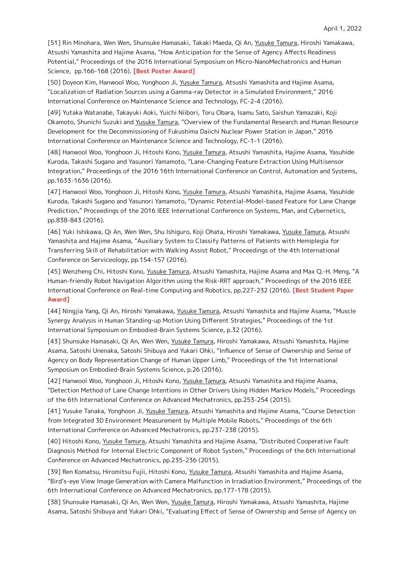[51] Rin Minohara, Wen Wen, Shunsuke Hamasaki, Takaki Maeda, Qi An, Yusuke Tamura, Hiroshi Yamakawa, Atsushi Yamashita and Hajime Asama, "How Anticipation for the Sense of Agency Affects Readiness Potential," Proceedings of the 2016 International Symposium on Micro-NanoMechatronics and Human Science, pp.166-168 (2016). **[Best Poster Award]**

[50] Doyeon Kim, Hanwool Woo, Yonghoon Ji, Yusuke Tamura, Atsushi Yamashita and Hajime Asama, "Localization of Radiation Sources using a Gamma-ray Detector in a Simulated Environment," 2016 International Conference on Maintenance Science and Technology, FC-2-4 (2016).

[49] Yutaka Watanabe, Takayuki Aoki, Yuichi Niibori, Toru Obara, Isamu Sato, Saishun Yamazaki, Koji Okamoto, Shunichi Suzuki and Yusuke Tamura, "Overview of the Fundamental Research and Human Resource Development for the Decommissioning of Fukushima Daiichi Nuclear Power Station in Japan," 2016 International Conference on Maintenance Science and Technology, FC-1-1 (2016).

[48] Hanwool Woo, Yonghoon Ji, Hitoshi Kono, Yusuke Tamura, Atsushi Yamashita, Hajime Asama, Yasuhide Kuroda, Takashi Sugano and Yasunori Yamamoto, "Lane-Changing Feature Extraction Using Multisensor Integration," Proceedings of the 2016 16th International Conference on Control, Automation and Systems, pp.1633-1636 (2016).

[47] Hanwool Woo, Yonghoon Ji, Hitoshi Kono, Yusuke Tamura, Atsushi Yamashita, Hajime Asama, Yasuhide Kuroda, Takashi Sugano and Yasunori Yamamoto, "Dynamic Potential-Model-based Feature for Lane Change Prediction," Proceedings of the 2016 IEEE International Conference on Systems, Man, and Cybernetics, pp.838-843 (2016).

[46] Yuki Ishikawa, Qi An, Wen Wen, Shu Ishiguro, Koji Ohata, Hiroshi Yamakawa, Yusuke Tamura, Atsushi Yamashita and Hajime Asama, "Auxiliary System to Classify Patterns of Patients with Hemiplegia for Transferring Skill of Rehabilitation with Walking Assist Robot," Proceedings of the 4th International Conference on Serviceology, pp.154-157 (2016).

[45] Wenzheng Chi, Hitoshi Kono, Yusuke Tamura, Atsushi Yamashita, Hajime Asama and Max Q.-H. Meng, "A Human-friendly Robot Navigation Algorithm using the Risk-RRT approach," Proceedings of the 2016 IEEE International Conference on Real-time Computing and Robotics, pp.227-232 (2016). **[Best Student Paper Award]**

[44] Ningjia Yang, Qi An, Hiroshi Yamakawa, Yusuke Tamura, Atsushi Yamashita and Hajime Asama, "Muscle Synergy Analysis in Human Standing-up Motion Using Different Strategies," Proceedings of the 1st International Symposium on Embodied-Brain Systems Science, p.32 (2016).

[43] Shunsuke Hamasaki, Qi An, Wen Wen, Yusuke Tamura, Hiroshi Yamakawa, Atsushi Yamashita, Hajime Asama, Satoshi Unenaka, Satoshi Shibuya and Yukari Ohki, "Influence of Sense of Ownership and Sense of Agency on Body Representation Change of Human Upper Limb," Proceedings of the 1st International Symposium on Embodied-Brain Systems Science, p.26 (2016).

[42] Hanwool Woo, Yonghoon Ji, Hitoshi Kono, Yusuke Tamura, Atsushi Yamashita and Hajime Asama, "Detection Method of Lane Change Intentions in Other Drivers Using Hidden Markov Models," Proceedings of the 6th International Conference on Advanced Mechatronics, pp.253-254 (2015).

[41] Yusuke Tanaka, Yonghoon Ji, Yusuke Tamura, Atsushi Yamashita and Hajime Asama, "Course Detection from Integrated 3D Environment Measurement by Multiple Mobile Robots," Proceedings of the 6th International Conference on Advanced Mechatronics, pp.237-238 (2015).

[40] Hitoshi Kono, Yusuke Tamura, Atsushi Yamashita and Hajime Asama, "Distributed Cooperative Fault Diagnosis Method for Internal Electric Component of Robot System," Proceedings of the 6th International Conference on Advanced Mechatronics, pp.235-236 (2015).

[39] Ren Komatsu, Hiromitsu Fujii, Hitoshi Kono, Yusuke Tamura, Atsushi Yamashita and Hajime Asama, "Bird's-eye View Image Generation with Camera Malfunction in Irradiation Environment," Proceedings of the 6th International Conference on Advanced Mechatronics, pp.177-178 (2015).

[38] Shunsuke Hamasaki, Qi An, Wen Wen, Yusuke Tamura, Hiroshi Yamakawa, Atsushi Yamashita, Hajime Asama, Satoshi Shibuya and Yukari Ohki, "Evaluating Effect of Sense of Ownership and Sense of Agency on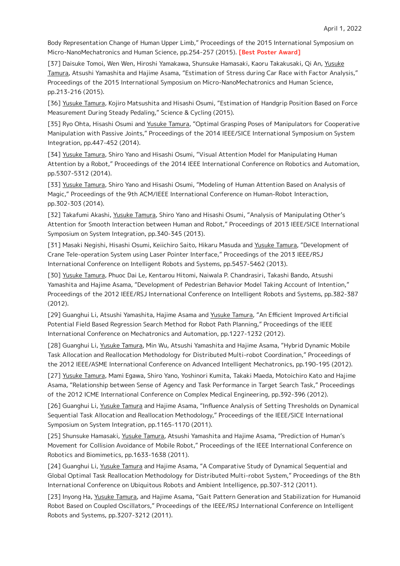Body Representation Change of Human Upper Limb," Proceedings of the 2015 International Symposium on Micro-NanoMechatronics and Human Science, pp.254-257 (2015). **[Best Poster Award]**

[37] Daisuke Tomoi, Wen Wen, Hiroshi Yamakawa, Shunsuke Hamasaki, Kaoru Takakusaki, Qi An, Yusuke Tamura, Atsushi Yamashita and Hajime Asama, "Estimation of Stress during Car Race with Factor Analysis," Proceedings of the 2015 International Symposium on Micro-NanoMechatronics and Human Science, pp.213-216 (2015).

[36] Yusuke Tamura, Kojiro Matsushita and Hisashi Osumi, "Estimation of Handgrip Position Based on Force Measurement During Steady Pedaling," Science & Cycling (2015).

[35] Ryo Ohta, Hisashi Osumi and Yusuke Tamura, "Optimal Grasping Poses of Manipulators for Cooperative Manipulation with Passive Joints," Proceedings of the 2014 IEEE/SICE International Symposium on System Integration, pp.447-452 (2014).

[34] Yusuke Tamura, Shiro Yano and Hisashi Osumi, "Visual Attention Model for Manipulating Human Attention by a Robot," Proceedings of the 2014 IEEE International Conference on Robotics and Automation, pp.5307-5312 (2014).

[33] Yusuke Tamura, Shiro Yano and Hisashi Osumi, "Modeling of Human Attention Based on Analysis of Magic," Proceedings of the 9th ACM/IEEE International Conference on Human-Robot Interaction, pp.302-303 (2014).

[32] Takafumi Akashi, Yusuke Tamura, Shiro Yano and Hisashi Osumi, "Analysis of Manipulating Other's Attention for Smooth Interaction between Human and Robot," Proceedings of 2013 IEEE/SICE International Symposium on System Integration, pp.340-345 (2013).

[31] Masaki Negishi, Hisashi Osumi, Keiichiro Saito, Hikaru Masuda and Yusuke Tamura, "Development of Crane Tele-operation System using Laser Pointer Interface," Proceedings of the 2013 IEEE/RSJ International Conference on Intelligent Robots and Systems, pp.5457-5462 (2013).

[30] Yusuke Tamura, Phuoc Dai Le, Kentarou Hitomi, Naiwala P. Chandrasiri, Takashi Bando, Atsushi Yamashita and Hajime Asama, "Development of Pedestrian Behavior Model Taking Account of Intention," Proceedings of the 2012 IEEE/RSJ International Conference on Intelligent Robots and Systems, pp.382-387 (2012).

[29] Guanghui Li, Atsushi Yamashita, Hajime Asama and Yusuke Tamura, "An Efficient Improved Artificial Potential Field Based Regression Search Method for Robot Path Planning," Proceedings of the IEEE International Conference on Mechatronics and Automation, pp.1227-1232 (2012).

[28] Guanghui Li, Yusuke Tamura, Min Wu, Atsushi Yamashita and Hajime Asama, "Hybrid Dynamic Mobile Task Allocation and Reallocation Methodology for Distributed Multi-robot Coordination," Proceedings of the 2012 IEEE/ASME International Conference on Advanced Intelligent Mechatronics, pp.190-195 (2012).

[27] Yusuke Tamura, Mami Egawa, Shiro Yano, Yoshinori Kumita, Takaki Maeda, Motoichiro Kato and Hajime Asama, "Relationship between Sense of Agency and Task Performance in Target Search Task," Proceedings of the 2012 ICME International Conference on Complex Medical Engineering, pp.392-396 (2012).

[26] Guanghui Li, Yusuke Tamura and Hajime Asama, "Influence Analysis of Setting Thresholds on Dynamical Sequential Task Allocation and Reallocation Methodology," Proceedings of the IEEE/SICE International Symposium on System Integration, pp.1165-1170 (2011).

[25] Shunsuke Hamasaki, Yusuke Tamura, Atsushi Yamashita and Hajime Asama, "Prediction of Human's Movement for Collision Avoidance of Mobile Robot," Proceedings of the IEEE International Conference on Robotics and Biomimetics, pp.1633-1638 (2011).

[24] Guanghui Li, Yusuke Tamura and Hajime Asama, "A Comparative Study of Dynamical Sequential and Global Optimal Task Reallocation Methodology for Distributed Multi-robot System," Proceedings of the 8th International Conference on Ubiquitous Robots and Ambient Intelligence, pp.307-312 (2011).

[23] Inyong Ha, Yusuke Tamura, and Hajime Asama, "Gait Pattern Generation and Stabilization for Humanoid Robot Based on Coupled Oscillators," Proceedings of the IEEE/RSJ International Conference on Intelligent Robots and Systems, pp.3207-3212 (2011).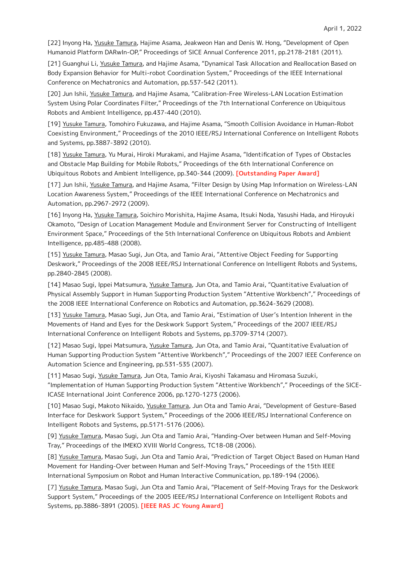[22] Inyong Ha, Yusuke Tamura, Hajime Asama, Jeakweon Han and Denis W. Hong, "Development of Open Humanoid Platform DARwIn-OP," Proceedings of SICE Annual Conference 2011, pp.2178-2181 (2011).

[21] Guanghui Li, Yusuke Tamura, and Hajime Asama, "Dynamical Task Allocation and Reallocation Based on Body Expansion Behavior for Multi-robot Coordination System," Proceedings of the IEEE International Conference on Mechatronics and Automation, pp.537-542 (2011).

[20] Jun Ishii, Yusuke Tamura, and Hajime Asama, "Calibration-Free Wireless-LAN Location Estimation System Using Polar Coordinates Filter," Proceedings of the 7th International Conference on Ubiquitous Robots and Ambient Intelligence, pp.437-440 (2010).

[19] Yusuke Tamura, Tomohiro Fukuzawa, and Hajime Asama, "Smooth Collision Avoidance in Human-Robot Coexisting Environment," Proceedings of the 2010 IEEE/RSJ International Conference on Intelligent Robots and Systems, pp.3887-3892 (2010).

[18] Yusuke Tamura, Yu Murai, Hiroki Murakami, and Hajime Asama, "Identification of Types of Obstacles and Obstacle Map Building for Mobile Robots," Proceedings of the 6th International Conference on Ubiquitous Robots and Ambient Intelligence, pp.340-344 (2009). **[Outstanding Paper Award]**

[17] Jun Ishii, Yusuke Tamura, and Hajime Asama, "Filter Design by Using Map Information on Wireless-LAN Location Awareness System," Proceedings of the IEEE International Conference on Mechatronics and Automation, pp.2967-2972 (2009).

[16] Inyong Ha, Yusuke Tamura, Soichiro Morishita, Hajime Asama, Itsuki Noda, Yasushi Hada, and Hiroyuki Okamoto, "Design of Location Management Module and Environment Server for Constructing of Intelligent Environment Space," Proceedings of the 5th International Conference on Ubiquitous Robots and Ambient Intelligence, pp.485-488 (2008).

[15] Yusuke Tamura, Masao Sugi, Jun Ota, and Tamio Arai, "Attentive Object Feeding for Supporting Deskwork," Proceedings of the 2008 IEEE/RSJ International Conference on Intelligent Robots and Systems, pp.2840-2845 (2008).

[14] Masao Sugi, Ippei Matsumura, Yusuke Tamura, Jun Ota, and Tamio Arai, "Quantitative Evaluation of Physical Assembly Support in Human Supporting Production System "Attentive Workbench"," Proceedings of the 2008 IEEE International Conference on Robotics and Automation, pp.3624-3629 (2008).

[13] Yusuke Tamura, Masao Sugi, Jun Ota, and Tamio Arai, "Estimation of User's Intention Inherent in the Movements of Hand and Eyes for the Deskwork Support System," Proceedings of the 2007 IEEE/RSJ International Conference on Intelligent Robots and Systems, pp.3709-3714 (2007).

[12] Masao Sugi, Ippei Matsumura, Yusuke Tamura, Jun Ota, and Tamio Arai, "Quantitative Evaluation of Human Supporting Production System "Attentive Workbench"," Proceedings of the 2007 IEEE Conference on Automation Science and Engineering, pp.531-535 (2007).

[11] Masao Sugi, Yusuke Tamura, Jun Ota, Tamio Arai, Kiyoshi Takamasu and Hiromasa Suzuki, "Implementation of Human Supporting Production System "Attentive Workbench"," Proceedings of the SICE-ICASE International Joint Conference 2006, pp.1270-1273 (2006).

[10] Masao Sugi, Makoto Nikaido, Yusuke Tamura, Jun Ota and Tamio Arai, "Development of Gesture-Based Interface for Deskwork Support System," Proceedings of the 2006 IEEE/RSJ International Conference on Intelligent Robots and Systems, pp.5171-5176 (2006).

[9] Yusuke Tamura, Masao Sugi, Jun Ota and Tamio Arai, "Handing-Over between Human and Self-Moving Tray," Proceedings of the IMEKO XVIII World Congress, TC18-08 (2006).

[8] Yusuke Tamura, Masao Sugi, Jun Ota and Tamio Arai, "Prediction of Target Object Based on Human Hand Movement for Handing-Over between Human and Self-Moving Trays," Proceedings of the 15th IEEE International Symposium on Robot and Human Interactive Communication, pp.189-194 (2006).

[7] Yusuke Tamura, Masao Sugi, Jun Ota and Tamio Arai, "Placement of Self-Moving Trays for the Deskwork Support System," Proceedings of the 2005 IEEE/RSJ International Conference on Intelligent Robots and Systems, pp.3886-3891 (2005). **[IEEE RAS JC Young Award]**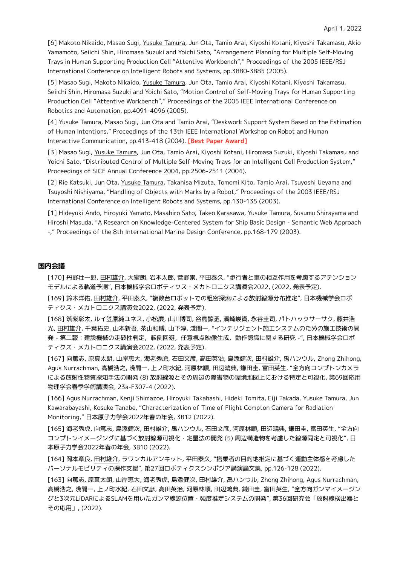[6] Makoto Nikaido, Masao Sugi, Yusuke Tamura, Jun Ota, Tamio Arai, Kiyoshi Kotani, Kiyoshi Takamasu, Akio Yamamoto, Seiichi Shin, Hiromasa Suzuki and Yoichi Sato, "Arrangement Planning for Multiple Self-Moving Trays in Human Supporting Production Cell "Attentive Workbench"," Proceedings of the 2005 IEEE/RSJ International Conference on Intelligent Robots and Systems, pp.3880-3885 (2005).

[5] Masao Sugi, Makoto Nikaido, Yusuke Tamura, Jun Ota, Tamio Arai, Kiyoshi Kotani, Kiyoshi Takamasu, Seiichi Shin, Hiromasa Suzuki and Yoichi Sato, "Motion Control of Self-Moving Trays for Human Supporting Production Cell "Attentive Workbench"," Proceedings of the 2005 IEEE International Conference on Robotics and Automation, pp.4091-4096 (2005).

[4] Yusuke Tamura, Masao Sugi, Jun Ota and Tamio Arai, "Deskwork Support System Based on the Estimation of Human Intentions," Proceedings of the 13th IEEE International Workshop on Robot and Human Interactive Communication, pp.413-418 (2004). **[Best Paper Award]**

[3] Masao Sugi, Yusuke Tamura, Jun Ota, Tamio Arai, Kiyoshi Kotani, Hiromasa Suzuki, Kiyoshi Takamasu and Yoichi Sato, "Distributed Control of Multiple Self-Moving Trays for an Intelligent Cell Production System," Proceedings of SICE Annual Conference 2004, pp.2506-2511 (2004).

[2] Rie Katsuki, Jun Ota, Yusuke Tamura, Takahisa Mizuta, Tomomi Kito, Tamio Arai, Tsuyoshi Ueyama and Tsuyoshi Nishiyama, "Handling of Objects with Marks by a Robot," Proceedings of the 2003 IEEE/RSJ International Conference on Intelligent Robots and Systems, pp.130-135 (2003).

[1] Hideyuki Ando, Hiroyuki Yamato, Masahiro Sato, Takeo Karasawa, Yusuke Tamura, Susumu Shirayama and Hiroshi Masuda, "A Research on Knowledge-Centered System for Ship Basic Design - Semantic Web Approach -," Proceedings of the 8th International Marine Design Conference, pp.168-179 (2003).

#### **国内会議**

[170] 丹野壮一郎, 田村雄介, 大室朗, 岩本太郎, 菅野崇, 平田泰久, "歩行者と車の相互作用を考慮するアテンション モデルによる軌道予測", 日本機械学会ロボティクス・メカトロニクス講演会2022, (2022, 発表予定).

[169] 鈴木洋佑, 田村雄介, 平田泰久, "複数台ロボットでの粗密探索による放射線源分布推定", 日本機械学会ロボ ティクス・メカトロニクス講演会2022, (2022, 発表予定).

[168] 筑紫彰太, ルイ笠原純ユネス, 小松廉, 山川博司, 谷島諒丞, 濱崎峻資, 永谷圭司, パトハックサーサク, 藤井浩 光, 田村雄介, 千葉拓史, 山本新吾, 茶山和博, 山下淳, 淺間一, "インテリジェント施工システムのための施工技術の開 発 - 第二報:建設機械の走破性判定,転倒回避,任意視点映像生成,動作認識に関する研究 -",日本機械学会ロボ ティクス・メカトロニクス講演会2022, (2022, 発表予定).

[167] 向篤志, 原真太朗, 山岸恵大, 海老秀虎, 石田文彦, 高田英治, 島添健次, 田村雄介, 禹ハンウル, Zhong Zhihong, Agus Nurrachman, 高橋浩之, 淺間一, 上ノ町水紀, 河原林順, 田辺鴻典, 鎌田圭, 富田英生, "全方向コンプトンカメラ による放射性物質探知手法の開発 (8) 放射線源とその周辺の障害物の環境地図上における特定と可視化, 第69回応用 物理学会春季学術講演会, 23a-F307-4 (2022).

[166] Agus Nurrachman, Kenji Shimazoe, Hiroyuki Takahashi, Hideki Tomita, Eiji Takada, Yusuke Tamura, Jun Kawarabayashi, Kosuke Tanabe, "Characterization of Time of Flight Compton Camera for Radiation Monitoring," 日本原子力学会2022年春の年会, 3B12 (2022).

[165] 海老秀虎, 向篤志, 島添健次, 田村雄介, 禹ハンウル, 石田文彦, 河原林順, 田辺鴻典, 鎌田圭, 富田英生, "全方向 コンプトンイメージングに基づく放射線源可視化・定量法の開発 (5) 周辺構造物を考慮した線源同定と可視化", 日 本原子力学会2022年春の年会, 3B10 (2022).

[164] 岡本章良, 田村雄介, ラワンカルアンキット, 平田泰久, "搭乗者の目的地推定に基づく運動主体感を考慮した パーソナルモビリティの操作支援", 第27回ロボティクスシンポジア講演論文集, pp.126-128 (2022).

[163] 向篤志, 原真太朗, 山岸恵大, 海老秀虎, 島添健次, 田村雄介, 禹ハンウル, Zhong Zhihong, Agus Nurrachman, 高橋浩之, 淺間一, 上ノ町水紀, 石田文彦, 高田英治, 河原林順, 田辺鴻典, 鎌田圭, 富田英生, "全方向ガンマイメージン グと3次元LiDARによるSLAMを用いたガンマ線源位置・強度推定システムの開発", 第36回研究会「放射線検出器と その応用」, (2022).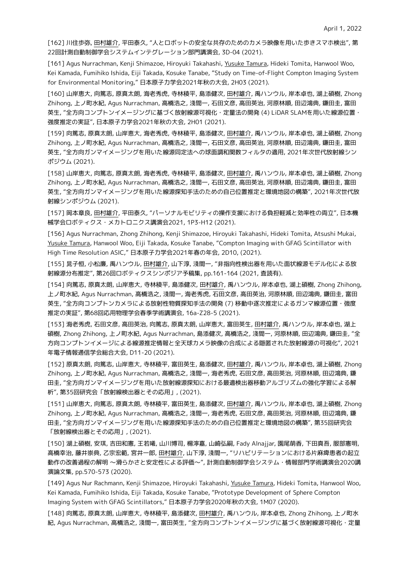[162] 川住歩弥, 田村雄介, 平田泰久, "人とロボットの安全な共存のためのカメラ映像を用いた歩きスマホ検出", 第 22回計測自動制御学会システムインテグレーション部門講演会, 3D-04 (2021).

[161] Agus Nurrachman, Kenji Shimazoe, Hiroyuki Takahashi, Yusuke Tamura, Hideki Tomita, Hanwool Woo, Kei Kamada, Fumihiko Ishida, Eiji Takada, Kosuke Tanabe, "Study on Time-of-Flight Compton Imaging System for Environmental Monitoring," 日本原子力学会2021年秋の大会, 2H03 (2021).

[160] 山岸恵大, 向篤志, 原真太朗, 海老秀虎, 寺林稜平, 島添健次, 田村雄介, 禹ハンウル, 岸本卓也, 湖上碩樹, Zhong Zhihong, 上ノ町水紀, Agus Nurrachman, 高橋浩之, 淺間一, 石田文彦, 高田英治, 河原林順, 田辺鴻典, 鎌田圭, 富田 英生, "全方向コンプトンイメージングに基づく放射線源可視化・定量法の開発 (4) LiDAR SLAMを用いた線源位置・ 強度推定の実証", 日本原子力学会2021年秋の大会, 2H01 (2021).

[159] 向篤志, 原真太朗, 山岸恵大, 海老秀虎, 寺林稜平, 島添健次, 田村雄介, 禹ハンウル, 岸本卓也, 湖上碩樹, Zhong Zhihong, 上ノ町水紀, Agus Nurrachman, 高橋浩之, 淺間一, 石田文彦, 高田英治, 河原林順, 田辺鴻典, 鎌田圭, 富田 英生, "全方向ガンマイメージングを用いた線源同定法への球面調和関数フィルタの適用, 2021年次世代放射線シン ポジウム (2021).

[158] 山岸恵大, 向篤志, 原真太朗, 海老秀虎, 寺林稜平, 島添健次, 田村雄介, 禹ハンウル, 岸本卓也, 湖上碩樹, Zhong Zhihong, 上ノ町水紀, Agus Nurrachman, 高橋浩之, 淺間一, 石田文彦, 高田英治, 河原林順, 田辺鴻典, 鎌田圭, 富田 英生, "全方向ガンマイメージングを用いた線源探知手法のための自己位置推定と環境地図の構築", 2021年次世代放 射線シンポジウム (2021).

[157] 岡本章良, 田村雄介, 平田泰久, "パーソナルモビリティの操作支援における負担軽減と効率性の両立", 日本機 械学会ロボティクス・メカトロニクス講演会2021, 1P3-H12 (2021).

[156] Agus Nurrachman, Zhong Zhihong, Kenji Shimazoe, Hiroyuki Takahashi, Hideki Tomita, Atsushi Mukai, Yusuke Tamura, Hanwool Woo, Eiji Takada, Kosuke Tanabe, "Compton Imaging with GFAG Scintillator with High Time Resolution ASIC," 日本原子力学会2021年春の年会, 2D10, (2021).

[155] 晁子恒, 小松廉, 禹ハンウル, 田村雄介, 山下淳, 淺間一, "非指向性検出器を用いた面状線源モデル化による放 射線源分布推定", 第26回ロボティクスシンポジア予稿集, pp.161-164 (2021, 査読有).

[154] 向篤志, 原真太朗, 山岸恵大, 寺林稜平, 島添健次, 田村雄介, 禹ハンウル, 岸本卓也, 湖上碩樹, Zhong Zhihong, 上ノ町水紀, Agus Nurrachman, 高橋浩之, 淺間一, 海老秀虎, 石田文彦, 高田英治, 河原林順, 田辺鴻典, 鎌田圭, 富田 英生, "全方向コンプトンカメラによる放射性物質探知手法の開発 (7) 移動中逐次推定によるガンマ線源位置・強度 推定の実証", 第68回応用物理学会春季学術講演会, 16a-Z28-5 (2021).

[153] 海老秀虎, 石田文彦, 高田英治, 向篤志, 原真太朗, 山岸恵大, 富田英生, 田村雄介, 禹ハンウル, 岸本卓也, 湖上 碩樹, Zhong Zhihong, 上ノ町水紀, Agus Nurrachman, 島添健次, 高橋浩之, 淺間一, 河原林順, 田辺鴻典, 鎌田圭, "全 方向コンプトンイメージによる線源推定情報と全天球カメラ映像の合成による隠匿された放射線源の可視化", 2021 年電子情報通信学会総合大会, D11-20 (2021).

[152] 原真太朗, 向篤志, 山岸恵大, 寺林稜平, 富田英生, 島添健次, 田村雄介, 禹ハンウル, 岸本卓也, 湖上碩樹, Zhong Zhihong, 上ノ町水紀, Agus Nurrachman, 高橋浩之, 淺間一, 海老秀虎, 石田文彦, 高田英治, 河原林順, 田辺鴻典, 鎌 田圭, "全方向ガンマイメージングを用いた放射線源探知における最適検出器移動アルゴリズムの強化学習による解 析", 第35回研究会「放射線検出器とその応用」, (2021).

[151] 山岸恵大, 向篤志, 原真太朗, 寺林稜平, 富田英生, 島添健次, 田村雄介, 禹ハンウル, 岸本卓也, 湖上碩樹, Zhong Zhihong, 上ノ町水紀, Agus Nurrachman, 高橋浩之, 淺間一, 海老秀虎, 石田文彦, 高田英治, 河原林順, 田辺鴻典, 鎌 田圭, "全方向ガンマイメージングを用いた線源探知手法のための自己位置推定と環境地図の構築", 第35回研究会 「放射線検出器とその応用」, (2021).

[150] 湖上碩樹, 安琪, 吉田和憲, 王若曦, 山川博司, 楊濘嘉, 山崎弘嗣, Fady Alnajjar, 園尾萌香, 下田真吾, 服部憲明, 高橋幸治, 藤井崇典, 乙宗宏範, 宮井一郎, 田村雄介, 山下淳, 淺間一, "リハビリテーションにおける片麻痺患者の起立 動作の改善過程の解明 〜滑らかさと安定性による評価〜", 計測自動制御学会システム・情報部門学術講演会2020講 演論文集, pp.570-573 (2020).

[149] Agus Nur Rachmann, Kenji Shimazoe, Hiroyuki Takahashi, Yusuke Tamura, Hideki Tomita, Hanwool Woo, Kei Kamada, Fumihiko Ishida, Eiji Takada, Kosuke Tanabe, "Prototype Development of Sphere Compton Imaging System with GFAG Scintillators," 日本原子力学会2020年秋の大会, 1M07 (2020).

[148] 向篤志, 原真太朗, 山岸恵大, 寺林稜平, 島添健次, 田村雄介, 禹ハンウル, 岸本卓也, Zhong Zhihong, 上ノ町水 紀, Agus Nurrachman, 高橋浩之, 淺間一, 富田英生, "全方向コンプトンイメージングに基づく放射線源可視化・定量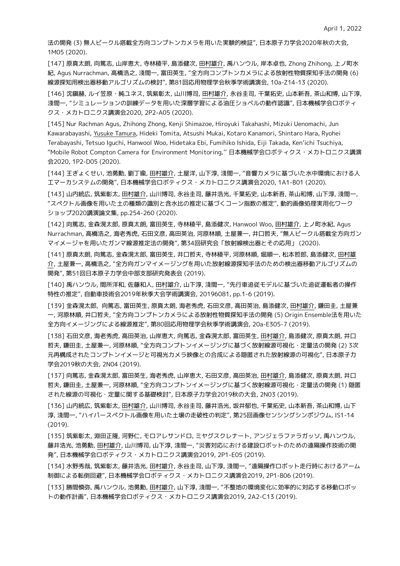法の開発 (3) 無人ビークル搭載全方向コンプトンカメラを用いた実験的検証", 日本原子力学会2020年秋の大会, 1M05 (2020).

[147] 原真太朗, 向篤志, 山岸恵大, 寺林稜平, 島添健次, 田村雄介, 禹ハンウル, 岸本卓也, Zhong Zhihong, 上ノ町水 紀, Agus Nurrachman, 高橋浩之, 淺間一, 富田英生, "全方向コンプトンカメラによる放射性物質探知手法の開発 (6) 線源探知用検出器移動アルゴリズムの検討", 第81回応用物理学会秋季学術講演会, 10a-Z14-13 (2020).

[146] 沈鎭赫, ルイ笠原・純ユネス, 筑紫彰太, 山川博司, 田村雄介, 永谷圭司, 千葉拓史, 山本新吾, 茶山和博, 山下淳, 淺間一, "シミュレーションの訓練データを用いた深層学習による油圧ショベルの動作認識", 日本機械学会ロボティ クス・メカトロニクス講演会2020, 2P2-A05 (2020).

[145] Nur Rachman Agus, Zhihong Zhong, Kenji Shimazoe, Hiroyuki Takahashi, Mizuki Uenomachi, Jun Kawarabayashi, Yusuke Tamura, Hideki Tomita, Atsushi Mukai, Kotaro Kanamori, Shintaro Hara, Ryohei Terabayashi, Tetsuo Iguchi, Hanwool Woo, Hidetaka Ebi, Fumihiko Ishida, Eiji Takada, Ken'ichi Tsuchiya, "Mobile Robot Compton Camera for Environment Monitoring,'' 日本機械学会ロボティクス・メカトロニクス講演 会2020, 1P2-D05 (2020).

[144] 王ぎょくせい, 池勇勳, 劉丁瑜, 田村雄介, 土屋洋, 山下淳, 淺間一, "音響カメラに基づいた水中環境における人 工マーカシステムの開発", 日本機械学会ロボティクス・メカトロニクス講演会2020, 1A1-B01 (2020).

[143] 山内統広, 筑紫彰太, 田村雄介, 山川博司, 永谷圭司, 藤井浩光, 千葉拓史, 山本新吾, 茶山和博, 山下淳, 淺間一, "スペクトル画像を用いた土の種類の識別と含水比の推定に基づくコーン指数の推定", 動的画像処理実用化ワーク ショップ2020講演論文集, pp.254-260 (2020).

[142] 向篤志, 金森滉太郎, 原真太朗, 富田英生, 寺林稜平, 島添健次, Hanwool Woo, 田村雄介, 上ノ町水紀, Agus Nurrachman, 高橋浩之, 海老秀虎, 石田文彦, 高田英治, 河原林順, 土屋兼一, 井口哲夫, "無人ビークル搭載全方向ガン マイメージャを用いたガンマ線源推定法の開発", 第34回研究会「放射線検出器とその応用」 (2020).

[141] 原真太朗, 向篤志, 金森滉太郎, 富田英生, 井口哲夫, 寺林稜平, 河原林順, 堀順一, 松本哲郎, 島添健次, 田村雄 介, 土屋兼一, 高橋浩之, "全方向ガンマイメージングを用いた放射線源探知手法のための検出器移動アルゴリズムの 開発", 第51回日本原子力学会中部支部研究発表会 (2019).

[140] 禹ハンウル, 間所洋和, 佐藤和人, 田村雄介, 山下淳, 淺間一, "先行車追従モデルに基づいた追従運転者の操作 特性の推定", 自動車技術会2019年秋季大会学術講演会, 20196081, pp.1-6 (2019).

[139] 金森滉太郎, 向篤志, 富田英生, 原真太朗, 海老秀虎, 石田文彦, 高田英治, 島添健次, 田村雄介, 鎌田圭, 土屋兼 一, 河原林順, 井口哲夫, "全方向コンプトンカメラによる放射性物質探知手法の開発 (5) Origin Ensemble法を用いた 全方向イメージングによる線源推定", 第80回応用物理学会秋季学術講演会, 20a-E305-7 (2019).

[138] 石田文彦, 海老秀虎, 高田英治, 山岸恵大, 向篤志, 金森滉太郎, 富田英生, 田村雄介, 島添健次, 原真太朗, 井口 哲夫, 鎌田圭, 土屋兼一, 河原林順, "全方向コンプトンイメージングに基づく放射線源可視化・定量法の開発 (2) 3次 元再構成されたコンプトンイメージと可視光カメラ映像との合成による隠匿された放射線源の可視化", 日本原子力 学会2019秋の大会, 2N04 (2019).

[137] 向篤志, 金森滉太郎, 富田英生, 海老秀虎, 山岸恵大, 石田文彦, 高田英治, 田村雄介, 島添健次, 原真太朗, 井口 哲夫, 鎌田圭, 土屋兼一, 河原林順, "全方向コンプトンイメージングに基づく放射線源可視化・定量法の開発 (1) 隠匿 された線源の可視化・定量に関する基礎検討", 日本原子力学会2019秋の大会, 2N03 (2019).

[136] 山内統広, 筑紫彰太, 田村雄介, 山川博司, 永谷圭司, 藤井浩光, 坂井郁也, 千葉拓史, 山本新吾, 茶山和博, 山下 淳, 淺間一, "ハイパースペクトル画像を用いた土壌の走破性の判定", 第25回画像センシングシンポジウム, IS1-14 (2019).

[135] 筑紫彰太, 淵田正隆, 河野仁, モロアレサンドロ, ミヤグスクレナート, アンジェラファラガッソ, 禹ハンウル, 藤井浩光, 池勇勳, 田村雄介, 山川博司, 山下淳, 淺間一, "災害対応における建設ロボットのための遠隔操作技術の開 発", 日本機械学会ロボティクス・メカトロニクス講演会2019, 2P1-E05 (2019).

[134] 水野秀哉, 筑紫彰太, 藤井浩光, 田村雄介, 永谷圭司, 山下淳, 淺間一, "遠隔操作ロボット走行時におけるアーム 制御による転倒回避", 日本機械学会ロボティクス・メカトロニクス講演会2019, 2P1-B06 (2019).

[133] 勝間慎弥, 禹ハンウル, 池勇勳, 田村雄介, 山下淳, 淺間一, "不整地の環境変化に効率的に対応する移動ロボッ トの動作計画", 日本機械学会ロボティクス・メカトロニクス講演会2019, 2A2-C13 (2019).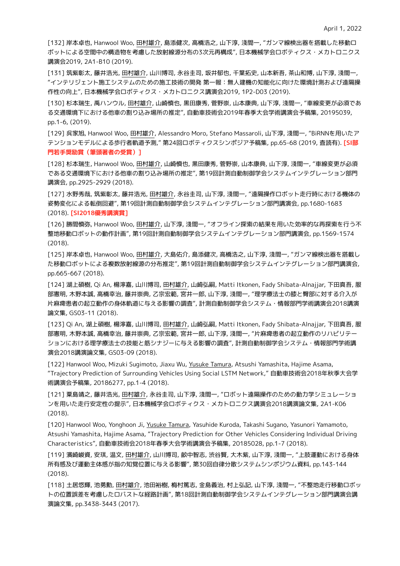[132] 岸本卓也, Hanwool Woo, 田村雄介, 島添健次, 高橋浩之, 山下淳, 淺間一, "ガンマ線検出器を搭載した移動ロ ボットによる空間中の構造物を考慮した放射線源分布の3次元再構成", 日本機械学会ロボティクス・メカトロニクス 講演会2019, 2A1-B10 (2019).

[131] 筑紫彰太, 藤井浩光, 田村雄介, 山川博司, 永谷圭司, 坂井郁也, 千葉拓史, 山本新吾, 茶山和博, 山下淳, 淺間一, "インテリジェント施工システムのための施工技術の開発 第一報:無人建機の知能化に向けた環境計測および遠隔操 作性の向上", 日本機械学会ロボティクス・メカトロニクス講演会2019, 1P2-D03 (2019).

[130] 杉本瑞生, 禹ハンウル, 田村雄介, 山崎慎也, 黒田康秀, 菅野崇, 山本康典, 山下淳, 淺間一, "車線変更が必須であ る交通環境下における他車の割り込み場所の推定", 自動車技術会2019年春季大会学術講演会予稿集, 20195039, pp.1-6, (2019).

[129] 呉家旭, Hanwool Woo, 田村雄介, Alessandro Moro, Stefano Massaroli, 山下淳, 淺間一, "BiRNNを用いたア テンションモデルによる歩行者軌道予測," 第24回ロボティクスシンポジア予稿集, pp.65-68 (2019, 査読有). **[SI部 門若手奨励賞(筆頭著者の受賞)]**

[128] 杉本瑞生, Hanwool Woo, 田村雄介, 山崎慎也, 黒田康秀, 菅野崇, 山本康典, 山下淳, 淺間一, "車線変更が必須 である交通環境下における他車の割り込み場所の推定", 第19回計測自動制御学会システムインテグレーション部門 講演会, pp.2925-2929 (2018).

[127] 水野秀哉, 筑紫彰太, 藤井浩光, 田村雄介, 永谷圭司, 山下淳, 淺間一, "遠隔操作ロボット走行時における機体の 姿勢変化による転倒回避", 第19回計測自動制御学会システムインテグレーション部門講演会, pp.1680-1683 (2018). **[SI2018優秀講演賞]**

[126] 勝間慎弥, Hanwool Woo, 田村雄介, 山下淳, 淺間一, "オフライン探索の結果を用いた効率的な再探索を行う不 整地移動ロボットの動作計画", 第19回計測自動制御学会システムインテグレーション部門講演会, pp.1569-1574 (2018).

[125] 岸本卓也, Hanwool Woo, 田村雄介, 大島佑介, 島添健次, 高橋浩之, 山下淳, 淺間一, "ガンマ線検出器を搭載し た移動ロボットによる複数放射線源の分布推定", 第19回計測自動制御学会システムインテグレーション部門講演会, pp.665-667 (2018).

[124] 湖上碩樹, Qi An, 楊濘嘉, 山川博司, 田村雄介, 山崎弘嗣, Matti Itkonen, Fady Shibata-Alnajjar, 下田真吾, 服 部憲明, 木野本誠, 高橋幸治, 藤井崇典, 乙宗宏範, 宮井一郎, 山下淳, 淺間一, "理学療法士の膝と臀部に対する介入が 片麻痺患者の起立動作の身体軌道に与える影響の調査", 計測自動制御学会システム・情報部門学術講演会2018講演 論文集, GS03-11 (2018).

[123] Qi An, 湖上碩樹, 楊濘嘉, 山川博司, 田村雄介, 山崎弘嗣, Matti Itkonen, Fady Shibata-Alnajjar, 下田真吾, 服 部憲明, 木野本誠, 高橋幸治, 藤井崇典, 乙宗宏範, 宮井一郎, 山下淳, 淺間一, "片麻痺患者の起立動作のリハビリテー ションにおける理学療法士の技能と筋シナジーに与える影響の調査", 計測自動制御学会システム・情報部門学術講 演会2018講演論文集, GS03-09 (2018).

[122] Hanwool Woo, Mizuki Sugimoto, Jiaxu Wu, Yusuke Tamura, Atsushi Yamashita, Hajime Asama, "Trajectory Prediction of Surrounding Vehicles Using Social LSTM Network," 自動車技術会2018年秋季大会学 術講演会予稿集, 20186277, pp.1-4 (2018).

[121] 粟島靖之, 藤井浩光, 田村雄介, 永谷圭司, 山下淳, 淺間一, "ロボット遠隔操作のための動力学シミュレーショ ンを用いた走行安定性の提示", 日本機械学会ロボティクス・メカトロニクス講演会2018講演論文集, 2A1-K06 (2018).

[120] Hanwool Woo, Yonghoon Ji, Yusuke Tamura, Yasuhide Kuroda, Takashi Sugano, Yasunori Yamamoto, Atsushi Yamashita, Hajime Asama, "Trajectory Prediction for Other Vehicles Considering Individual Driving Characteristics", 自動車技術会2018年春季大会学術講演会予稿集, 20185028, pp.1-7 (2018).

[119] 濱崎峻資, 安琪, 温文, 田村雄介, 山川博司, 畝中智志, 渋谷賢, 大木紫, 山下淳, 淺間一, "上肢運動における身体 所有感及び運動主体感が指の知覚位置に与える影響", 第30回自律分散システムシンポジウム資料, pp.143-144 (2018).

[118] 土居悠輝, 池勇勳, 田村雄介, 池田裕樹, 梅村篤志, 金島義治, 村上弘記, 山下淳, 淺間一, "不整地走行移動ロボッ トの位置誤差を考慮したロバストな経路計画", 第18回計測自動制御学会システムインテグレーション部門講演会講 演論文集, pp.3438-3443 (2017).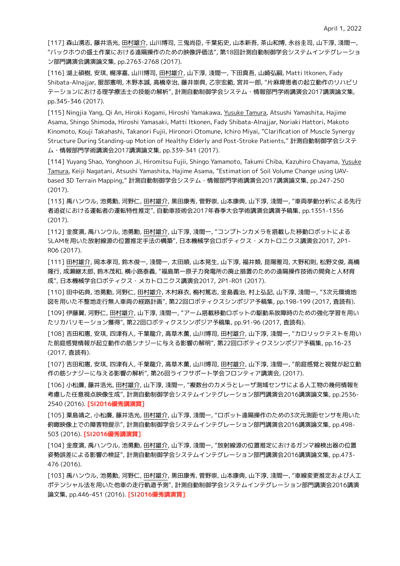[117] 森山湧志, 藤井浩光, 田村雄介, 山川博司, 三鬼尚臣, 千葉拓史, 山本新吾, 茶山和博, 永谷圭司, 山下淳, 淺間一, "バックホウの盛土作業における遠隔操作のための映像評価法", 第18回計測自動制御学会システムインテグレーショ ン部門講演会講演論文集, pp.2763-2768 (2017).

[116] 湖上碩樹, 安琪, 楊濘嘉, 山川博司, 田村雄介, 山下淳, 淺間一, 下田真吾, 山崎弘嗣, Matti Itkonen, Fady Shibata-Alnajjar, 服部憲明, 木野本誠, 高橋幸治, 藤井崇典, 乙宗宏範, 宮井一郎, "片麻痺患者の起立動作のリハビリ テーションにおける理学療法士の技能の解析", 計測自動制御学会システム・情報部門学術講演会2017講演論文集, pp.345-346 (2017).

[115] Ningjia Yang, Qi An, Hiroki Kogami, Hiroshi Yamakawa, Yusuke Tamura, Atsushi Yamashita, Hajime Asama, Shingo Shimoda, Hiroshi Yamasaki, Matti Itkonen, Fady Shibata-Alnajjar, Noriaki Hattori, Makoto Kinomoto, Kouji Takahashi, Takanori Fujii, Hironori Otomune, Ichiro Miyai, "Clarification of Muscle Synergy Structure During Standing-up Motion of Healthy Elderly and Post-Stroke Patients," 計測自動制御学会システ ム・情報部門学術講演会2017講演論文集, pp.339-341 (2017).

[114] Yuyang Shao, Yonghoon Ji, Hiromitsu Fujii, Shingo Yamamoto, Takumi Chiba, Kazuhiro Chayama, Yusuke Tamura, Keiji Nagatani, Atsushi Yamashita, Hajime Asama, "Estimation of Soil Volume Change using UAVbased 3D Terrain Mapping," 計測自動制御学会システム・情報部門学術講演会2017講演論文集, pp.247-250 (2017).

[113] 禹ハンウル, 池勇勳, 河野仁, 田村雄介, 黒田康秀, 菅野崇, 山本康典, 山下淳, 淺間一, "車両挙動分析による先行 者追従における運転者の運転特性推定", 自動車技術会2017年春季大会学術講演会講演予稿集, pp.1351-1356 (2017).

[112] 金度演, 禹ハンウル, 池勇勳, 田村雄介, 山下淳, 淺間一, "コンプトンカメラを搭載した移動ロボットによる SLAMを用いた放射線源の位置推定手法の構築", 日本機械学会ロボティクス・メカトロニクス講演会2017, 2P1- R06 (2017).

[111] 田村雄介, 岡本孝司, 鈴木俊一, 淺間一, 太田順, 山本晃生, 山下淳, 福井類, 昆陽雅司, 大野和則, 松野文俊, 高橋 隆行, 成瀬継太郎, 鈴木茂和, 横小路泰義, "福島第一原子力発電所の廃止措置のための遠隔操作技術の開発と人材育 成", 日本機械学会ロボティクス・メカトロニクス講演会2017, 2P1-R01 (2017).

[110] 田中佑典, 池勇勳, 河野仁, 田村雄介, 木村麻衣, 梅村篤志, 金島義治, 村上弘記, 山下淳, 淺間一, "3次元環境地 図を用いた不整地走行無人車両の経路計画", 第22回ロボティクスシンポジア予稿集, pp.198-199 (2017, 査読有).

[109] 伊藤翼, 河野仁, 田村雄介, 山下淳, 淺間一, "アーム搭載移動ロボットの駆動系故障時のための強化学習を用い たリカバリモーション獲得", 第22回ロボティクスシンポジア予稿集, pp.91-96 (2017, 査読有).

[108] 吉田和憲, 安琪, 四津有人, 千葉龍介, 高草木薫, 山川博司, 田村雄介, 山下淳, 淺間一, "カロリックテストを用い た前庭感覚情報が起立動作の筋シナジーに与える影響の解明", 第22回ロボティクスシンポジア予稿集, pp.16-23 (2017, 査読有).

[107] 吉田和憲, 安琪, 四津有人, 千葉龍介, 高草木薫, 山川博司, 田村雄介, 山下淳, 淺間一, "前庭感覚と視覚が起立動 作の筋シナジーに与える影響の解析", 第26回ライフサポート学会フロンティア講演会, (2017).

[106] 小松廉, 藤井浩光, 田村雄介, 山下淳, 淺間一, "複数台のカメラとレーザ測域センサによる人工物の幾何情報を 考慮した任意視点映像生成", 計測自動制御学会システムインテグレーション部門講演会2016講演論文集, pp.2536- 2540 (2016). **[SI2016優秀講演賞]**

[105] 粟島靖之, 小松廉, 藤井浩光, 田村雄介, 山下淳, 淺間一, "ロボット遠隔操作のための3次元測距センサを用いた 俯瞰映像上での障害物提示", 計測自動制御学会システムインテグレーション部門講演会2016講演論文集, pp.498- 503 (2016). **[SI2016優秀講演賞]**

[104] 金度演, 禹ハンウル, 池勇勳, 田村雄介, 山下淳, 淺間一, "放射線源の位置推定におけるガンマ線検出器の位置 姿勢誤差による影響の検証", 計測自動制御学会システムインテグレーション部門講演会2016講演論文集, pp.473- 476 (2016).

[103] 禹ハンウル, 池勇勳, 河野仁, 田村雄介, 黒田康秀, 菅野崇, 山本康典, 山下淳, 淺間一, "車線変更推定および人工 ポテンシャル法を用いた他車の走行軌道予測", 計測自動制御学会システムインテグレーション部門講演会2016講演 論文集, pp.446-451 (2016). **[SI2016優秀講演賞]**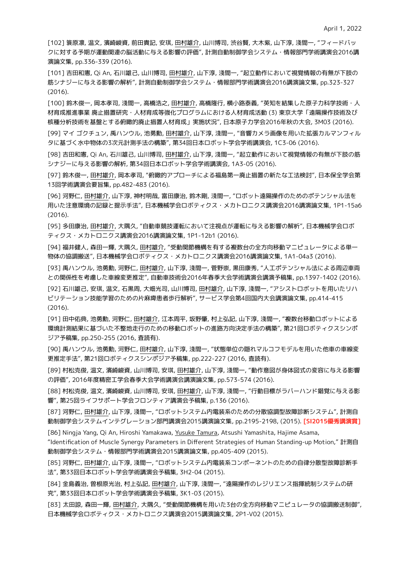[102] 簑原凛, 温文, 濱崎峻資, 前田貴記, 安琪, 田村雄介, 山川博司, 渋谷賢, 大木紫, 山下淳, 淺間一, "フィードバッ クに対する予期が運動関連の脳活動に与える影響の評価", 計測自動制御学会システム・情報部門学術講演会2016講 演論文集, pp.336-339 (2016).

[101] 吉田和憲, Qi An, 石川雄己, 山川博司, 田村雄介, 山下淳, 淺間一, "起立動作において視覚情報の有無が下肢の 筋シナジーに与える影響の解析", 計測自動制御学会システム・情報部門学術講演会2016講演論文集, pp.323-327 (2016).

[100] 鈴木俊一, 岡本孝司, 淺間一, 高橋浩之, 田村雄介, 高橋隆行, 横小路泰義, "英知を結集した原子力科学技術・人 材育成推進事業 廃止措置研究・人材育成等強化プログラムにおける人材育成活動 (3) 東京大学「遠隔操作技術及び 核種分析技術を基盤とする俯瞰的廃止措置人材育成」実施状況", 日本原子力学会2016年秋の大会, 3M03 (2016).

[99] マイ ゴクチュン, 禹ハンウル, 池勇勳, 田村雄介, 山下淳, 淺間一, "音響カメラ画像を用いた拡張カルマンフィル タに基づく水中物体の3次元計測手法の構築", 第34回日本ロボット学会学術講演会, 1C3-06 (2016).

[98] 吉田和憲, Qi An, 石川雄己, 山川博司, 田村雄介, 山下淳, 淺間一, "起立動作において視覚情報の有無が下肢の筋 シナジーに与える影響の解析, 第34回日本ロボット学会学術講演会, 1A3-05 (2016).

[97] 鈴木俊一, 田村雄介, 岡本孝司, "俯瞰的アプローチによる福島第一廃止措置の新たな工法検討", 日本保全学会第 13回学術講演会要旨集, pp.482-483 (2016).

[96] 河野仁, 田村雄介, 山下淳, 神村明哉, 富田康治, 鈴木剛, 淺間一, "ロボット遠隔操作のためのポテンシャル法を 用いた注意環境の記録と提示手法", 日本機械学会ロボティクス・メカトロニクス講演会2016講演論文集, 1P1-15a6 (2016).

[95] 多田康治, 田村雄介, 大隅久, "自動車競技運転において注視点が運転に与える影響の解析", 日本機械学会ロボ ティクス・メカトロニクス講演会2016講演論文集, 1P1-12b1 (2016).

[94] 福井健人, 森田一輝, 大隅久, 田村雄介, "受動関節機構を有する複数台の全方向移動マニピュレータによる単一 物体の協調搬送", 日本機械学会ロボティクス・メカトロニクス講演会2016講演論文集, 1A1-04a3 (2016).

[93] 禹ハンウル, 池勇勳, 河野仁, 田村雄介, 山下淳, 淺間一, 菅野崇, 黒田康秀, "人工ポテンシャル法による周辺車両 との関係性を考慮した車線変更推定", 自動車技術会2016年春季大会学術講演会講演予稿集, pp.1397-1402 (2016).

[92] 石川雄己, 安琪, 温文, 石黒周, 大畑光司, 山川博司, 田村雄介, 山下淳, 淺間一, "アシストロボットを用いたリハ ビリテーション技能学習のための片麻痺患者歩行解析", サービス学会第4回国内大会講演論文集, pp.414-415 (2016).

[91] 田中佑典, 池勇勳, 河野仁, 田村雄介, 江本周平, 坂野肇, 村上弘記, 山下淳, 淺間一, "複数台移動ロボットによる 環境計測結果に基づいた不整地走行のための移動ロボットの進路方向決定手法の構築", 第21回ロボティクスシンポ ジア予稿集, pp.250-255 (2016, 査読有).

[90] 禹ハンウル, 池勇勳, 河野仁, 田村雄介, 山下淳, 淺間一, "状態単位の隠れマルコフモデルを用いた他車の車線変 更推定手法", 第21回ロボティクスシンポジア予稿集, pp.222-227 (2016, 査読有).

[89] 村松克俊, 温文, 濱崎峻資, 山川博司, 安琪, 田村雄介, 山下淳, 淺間一, "動作意図が身体図式の変容に与える影響 の評価", 2016年度精密工学会春季大会学術講演会講演論文集, pp.573-574 (2016).

[88] 村松克俊, 温文, 濱崎峻資, 山川博司, 安琪, 田村雄介, 山下淳, 淺間一, "行動目標がラバーハンド錯覚に与える影 響", 第25回ライフサポート学会フロンティア講演会予稿集, p.136 (2016).

[87] 河野仁, 田村雄介, 山下淳, 淺間一, "ロボットシステム内電装系のための分散協調型故障診断システム", 計測自 動制御学会システムインテグレーション部門講演会2015講演論文集, pp.2195-2198, (2015). **[SI2015優秀講演賞]**

[86] Ningja Yang, Qi An, Hiroshi Yamakawa, Yusuke Tamura, Atsushi Yamashita, Hajime Asama,

"Identification of Muscle Synergy Parameters in Different Strategies of Human Standing-up Motion," 計測自 動制御学会システム・情報部門学術講演会2015講演論文集, pp.405-409 (2015).

[85] 河野仁, 田村雄介, 山下淳, 淺間一, "ロボットシステム内電装系コンポーネントのための自律分散型故障診断手 法", 第33回日本ロボット学会学術講演会予稿集, 3H2-04 (2015).

[84] 金島義治, 曽根原光治, 村上弘記, 田村雄介, 山下淳, 淺間一, "遠隔操作のレジリエンス指揮統制システムの研 究", 第33回日本ロボット学会学術講演会予稿集, 3K1-03 (2015).

[83] 太田諒, 森田一輝, 田村雄介, 大隅久, "受動関節機構を用いた3台の全方向移動マニピュレータの協調搬送制御", 日本機械学会ロボティクス・メカトロニクス講演会2015講演論文集, 2P1-V02 (2015).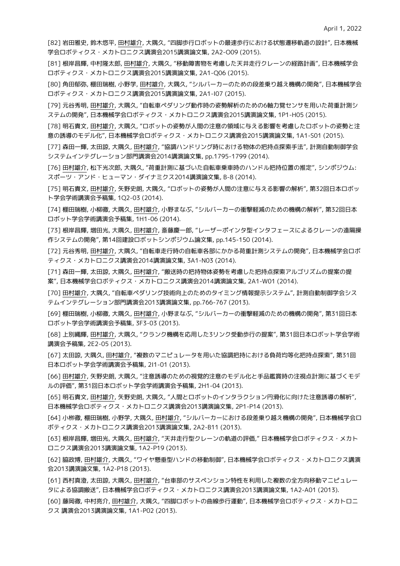[82] 岩田雅史, 鈴木悠平, 田村雄介, 大隅久, "四脚歩行ロボットの最速歩行における状態遷移軌道の設計", 日本機械 学会ロボティクス・メカトロニクス講演会2015講演論文集, 2A2-O09 (2015).

[81] 根岸昌輝, 中村隆太郎, 田村雄介, 大隅久, "移動障害物を考慮した天井走行クレーンの経路計画", 日本機械学会 ロボティクス・メカトロニクス講演会2015講演論文集, 2A1-Q06 (2015).

[80] 角田郁弥, 棚田瑞樹, 小野学, 田村雄介, 大隅久, "シルバーカーのための段差乗り越え機構の開発", 日本機械学会 ロボティクス・メカトロニクス講演会2015講演論文集, 2A1-I07 (2015).

[79] 元谷秀明, 田村雄介, 大隅久, "自転車ペダリング動作時の姿勢解析のための6軸力覚センサを用いた荷重計測シ ステムの開発", 日本機械学会ロボティクス・メカトロニクス講演会2015講演論文集, 1P1-H05 (2015).

[78] 明石貴文, 田村雄介, 大隅久, "ロボットの姿勢が人間の注意の領域に与える影響を考慮したロボットの姿勢と注 意の誘導のモデル化", 日本機械学会ロボティクス・メカトロニクス講演会2015講演論文集, 1A1-S01 (2015).

[77] 森田一輝, 太田諒, 大隅久, 田村雄介, "協調ハンドリング時における物体の把持点探索手法", 計測自動制御学会 システムインテグレーション部門講演会2014講演論文集, pp.1795-1799 (2014).

[76] 田村雄介, 松下光次郎, 大隅久, "荷重計測に基づいた自転車乗車時のハンドル把持位置の推定", シンポジウム: スポーツ・アンド・ヒューマン・ダイナミクス2014講演論文集, B-8 (2014).

[75] 明石貴文, 田村雄介, 矢野史朗, 大隅久, "ロボットの姿勢が人間の注意に与える影響の解析", 第32回日本ロボッ ト学会学術講演会予稿集, 1Q2-03 (2014).

[74] 棚田瑞樹, 小柳徹, 大隅久, 田村雄介, 小野まなぶ, "シルバーカーの衝撃軽減のための機構の解析", 第32回日本 ロボット学会学術講演会予稿集, 1H1-06 (2014).

[73] 根岸昌輝, 増田光, 大隅久, 田村雄介, 斎藤慶一郎, "レーザーポインタ型インタフェースによるクレーンの遠隔操 作システムの開発", 第14回建設ロボットシンポジウム論文集, pp.145-150 (2014).

[72] 元谷秀明, 田村雄介, 大隅久, "自転車走行時の自転車各部にかかる荷重計測システムの開発", 日本機械学会ロボ ティクス・メカトロニクス講演会2014講演論文集, 3A1-N03 (2014).

[71] 森田一輝, 太田諒, 大隅久, 田村雄介, "搬送時の把持物体姿勢を考慮した把持点探索アルゴリズムの提案の提 案", 日本機械学会ロボティクス・メカトロニクス講演会2014講演論文集, 2A1-W01 (2014).

[70] 田村雄介, 大隅久, "自転車ペダリング技術向上のためのタイミング情報提示システム", 計測自動制御学会シス テムインテグレーション部門講演会2013講演論文集, pp.766-767 (2013).

[69] 棚田瑞樹, 小柳徹, 大隅久, 田村雄介, 小野まなぶ, "シルバーカーの衝撃軽減のための機構の開発", 第31回日本 ロボット学会学術講演会予稿集, 3F3-03 (2013).

[68] 上別縄輝, 田村雄介, 大隅久, "クランク機構を応用した3リンク受動歩行の提案", 第31回日本ロボット学会学術 講演会予稿集, 2E2-05 (2013).

[67] 太田諒, 大隅久, 田村雄介, "複数のマニピュレータを用いた協調把持における負荷均等化把持点探索", 第31回 日本ロボット学会学術講演会予稿集, 2I1-01 (2013).

[66] 田村雄介, 矢野史朗, 大隅久, "注意誘導のための視覚的注意のモデル化と手品鑑賞時の注視点計測に基づくモデ ルの評価", 第31回日本ロボット学会学術講演会予稿集, 2H1-04 (2013).

[65] 明石貴文, 田村雄介, 矢野史朗, 大隅久, "人間とロボットのインタラクション円滑化に向けた注意誘導の解析", 日本機械学会ロボティクス・メカトロニクス講演会2013講演論文集, 2P1-P14 (2013).

[64] 小栁徹, 棚田瑞樹, 小野学, 大隅久, 田村雄介, "シルバーカーにおける段差乗り越え機構の開発", 日本機械学会ロ ボティクス・メカトロニクス講演会2013講演論文集, 2A2-B11 (2013).

[63] 根岸昌輝, 増田光, 大隅久, 田村雄介, "天井走行型クレーンの軌道の評価," 日本機械学会ロボティクス・メカト ロニクス講演会2013講演論文集, 1A2-P19 (2013).

[62] 脇政博, 田村雄介, 大隅久, "ワイヤ懸垂型ハンドの移動制御", 日本機械学会ロボティクス・メカトロニクス講演 会2013講演論文集, 1A2-P18 (2013).

[61] 西村真澄, 太田諒, 大隅久, 田村雄介, "台車部のサスペンション特性を利用した複数の全方向移動マニピュレー タによる協調搬送", 日本機械学会ロボティクス・メカトロニクス講演会2013講演論文集, 1A2-A01 (2013).

[60] 藤岡徹, 中村亮介, 田村雄介, 大隅久, "四脚ロボットの曲線歩行運動", 日本機械学会ロボティクス・メカトロニ クス 講演会2013講演論文集, 1A1-P02 (2013).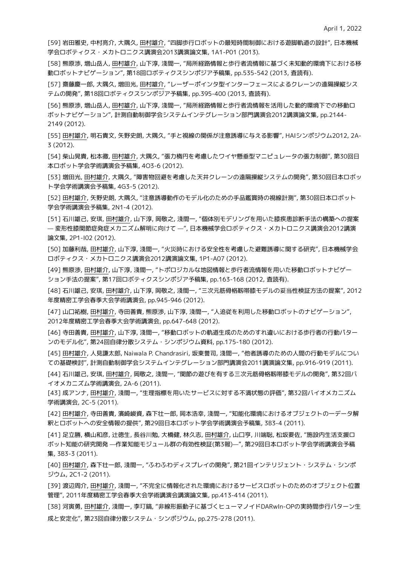[59] 岩田雅史, 中村亮介, 大隅久, 田村雄介, "四脚歩行ロボットの最短時間制御における遊脚軌道の設計", 日本機械 学会ロボティクス・メカトロニクス講演会2013講演論文集, 1A1-P01 (2013).

[58] 熊原渉, 増山岳人, 田村雄介, 山下淳, 淺間一, "局所経路情報と歩行者流情報に基づく未知動的環境下における移 動ロボットナビゲーション", 第18回ロボティクスシンポジア予稿集, pp.535-542 (2013, 査読有).

[57] 齋藤慶一郎, 大隅久, 増田光, 田村雄介, "レーザーポインタ型インターフェースによるクレーンの遠隔操縦シス テムの開発", 第18回ロボティクスシンポジア予稿集, pp.395-400 (2013, 査読有).

[56] 熊原渉, 増山岳人, 田村雄介, 山下淳, 淺間一, "局所経路情報と歩行者流情報を活用した動的環境下での移動ロ ボットナビゲーション", 計測自動制御学会システムインテグレーション部門講演会2012講演論文集, pp.2144- 2149 (2012).

[55] 田村雄介, 明石貴文, 矢野史朗, 大隅久, "手と視線の関係が注意誘導に与える影響", HAIシンポジウム2012, 2A-3 (2012).

[54] 柴山晃貴, 松本徹, 田村雄介, 大隅久, "張力楕円を考慮したワイヤ懸垂型マニピュレータの張力制御", 第30回日 本ロボット学会学術講演会予稿集, 4O3-6 (2012).

[53] 増田光, 田村雄介, 大隅久, "障害物回避を考慮した天井クレーンの遠隔操縦システムの開発", 第30回日本ロボッ ト学会学術講演会予稿集, 4G3-5 (2012).

[52] 田村雄介, 矢野史朗, 大隅久, "注意誘導動作のモデル化のための手品鑑賞時の視線計測", 第30回日本ロボット 学会学術講演会予稿集, 2N1-4 (2012).

[51] 石川雄己, 安琪, 田村雄介, 山下淳, 岡敬之, 淺間一, "個体別モデリングを用いた膝疾患診断手法の構築への提案 — 変形性膝関節症発症メカニズム解明に向けて —", 日本機械学会ロボティクス・メカトロニクス講演会2012講演 論文集, 2P1-I02 (2012).

[50] 加藤利哉, 田村雄介, 山下淳, 淺間一, "火災時における安全性を考慮した避難誘導に関する研究", 日本機械学会 ロボティクス・メカトロニクス講演会2012講演論文集, 1P1-A07 (2012).

[49] 熊原渉, 田村雄介, 山下淳, 淺間一, "トポロジカルな地図情報と歩行者流情報を用いた移動ロボットナビゲー ション手法の提案", 第17回ロボティクスシンポジア予稿集, pp.163-168 (2012, 査読有).

[48] 石川雄己, 安琪, 田村雄介, 山下淳, 岡敬之, 淺間一, "三次元筋骨格靱帯膝モデルの妥当性検証方法の提案", 2012 年度精密工学会春季大会学術講演会, pp.945-946 (2012).

[47] 山口祐樹, 田村雄介, 寺田善貴, 熊原渉, 山下淳, 淺間一, "人追従を利用した移動ロボットのナビゲーション", 2012年度精密工学会春季大会学術講演会, pp.647-648 (2012).

[46] 寺田善貴, 田村雄介, 山下淳, 淺間一, "移動ロボットの軌道生成のためのすれ違いにおける歩行者の行動パター ンのモデル化", 第24回自律分散システム・シンポジウム資料, pp.175-180 (2012).

[45] 田村雄介, 人見謙太郎, Naiwala P. Chandrasiri, 坂東誉司, 淺間一, "他者誘導のための人間の行動モデルについ ての基礎検討", 計測自動制御学会システムインテグレーション部門講演会2011講演論文集, pp.916-919 (2011).

[44] 石川雄己, 安琪, 田村雄介, 岡敬之, 淺間一, "関節の遊びを有する三次元筋骨格靱帯膝モデルの開発", 第32回バ イオメカニズム学術講演会, 2A-6 (2011).

[43] 成アンナ, 田村雄介, 淺間一, "生理指標を用いたサービスに対する不満状態の評価", 第32回バイオメカニズム 学術講演会, 2C-5 (2011).

[42] 田村雄介, 寺田善貴, 濱崎峻資, 森下壮一郎, 岡本浩幸, 淺間一, "知能化環境におけるオブジェクトの一データ解 釈とロボットへの安全情報の提供", 第29回日本ロボット学会学術講演会予稿集, 3B3-4 (2011).

[41] 足立勝, 横山和彦, 辻徳生, 長谷川勉, 大橋健, 林久志, 田村雄介, 山口亨, 川端聡, 松坂要佐, "施設内生活支援ロ ボット知能の研究開発 —作業知能モジュール群の有効性検証(第3報)—", 第29回日本ロボット学会学術講演会予稿 集, 3B3-3 (2011).

[40] 田村雄介, 森下壮一郎, 淺間一, "ふわふわディスプレイの開発", 第21回インテリジェント・システム・シンポ ジウム, 2C1-2 (2011).

[39] 渡辺周介, 田村雄介, 淺間一, "不完全に情報化された環境におけるサービスロボットのためのオブジェクト位置 管理", 2011年度精密工学会春季大会学術講演会講演論文集, pp.413-414 (2011).

[38] 河寅勇, 田村雄介, 淺間一, 李玎鎬, "非線形振動子に基づくヒューマノイドDARwIn-OPの実時間歩行パターン生 成と安定化", 第23回自律分散システム・シンポジウム, pp.275-278 (2011).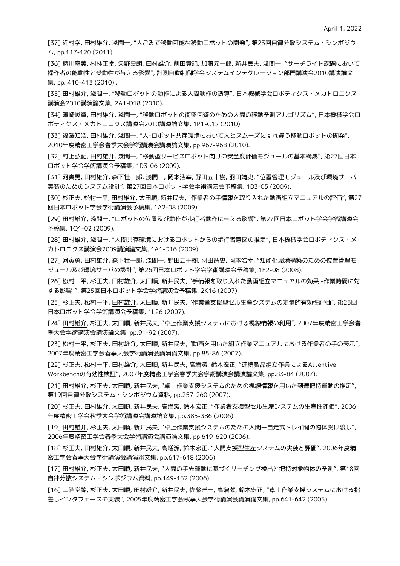[37] 近村学, 田村雄介, 淺間一, "人ごみで移動可能な移動ロボットの開発", 第23回自律分散システム・シンポジウ ム, pp.117-120 (2011).

[36] 柄川麻美, 村林正堂, 矢野史朗, 田村雄介, 前田貴記, 加藤元一郎, 新井民夫, 淺間一, "サーチライト課題において 操作者の能動性と受動性が与える影響", 計測自動制御学会システムインテグレーション部門講演会2010講演論文 集, pp. 410-413 (2010) .

[35] 田村雄介, 淺間一, "移動ロボットの動作による人間動作の誘導", 日本機械学会ロボティクス・メカトロニクス 講演会2010講演論文集, 2A1-D18 (2010).

[34] 濱崎峻資, 田村雄介, 淺間一, "移動ロボットの衝突回避のための人間の移動予測アルゴリズム", 日本機械学会ロ ボティクス・メカトロニクス講演会2010講演論文集, 1P1-C12 (2010).

[33] 福澤知浩, 田村雄介, 淺間一, "人-ロボット共存環境において人とスムーズにすれ違う移動ロボットの開発", 2010年度精密工学会春季大会学術講演会講演論文集, pp.967-968 (2010).

[32] 村上弘記, 田村雄介, 淺間一, "移動型サービスロボット向けの安全度評価モジュールの基本構成", 第27回日本 ロボット学会学術講演会予稿集, 1D3-06 (2009).

[31] 河寅勇, 田村雄介, 森下壮一郎, 淺間一, 岡本浩幸, 野田五十樹, 羽田靖史, "位置管理モジュール及び環境サーバ 実装のためのシステム設計", 第27回日本ロボット学会学術講演会予稿集, 1D3-05 (2009).

[30] 杉正夫, 松村一平, 田村雄介, 太田順, 新井民夫, "作業者の手情報を取り入れた動画組立マニュアルの評価", 第27 回日本ロボット学会学術講演会予稿集, 1A2-08 (2009).

[29] 田村雄介, 淺間一, "ロボットの位置及び動作が歩行者動作に与える影響", 第27回日本ロボット学会学術講演会 予稿集, 1Q1-02 (2009).

[28] 田村雄介, 淺間一, "人間共存環境におけるロボットからの歩行者意図の推定", 日本機械学会ロボティクス・メ カトロニクス講演会2009講演論文集, 1A1-D16 (2009).

[27] 河寅勇, 田村雄介, 森下壮一郎, 淺間一, 野田五十樹, 羽田靖史, 岡本浩幸, "知能化環境構築のための位置管理モ ジュール及び環境サーバの設計", 第26回日本ロボット学会学術講演会予稿集, 1F2-08 (2008).

[26] 松村一平, 杉正夫, 田村雄介, 太田順, 新井民夫, "手情報を取り入れた動画組立マニュアルの効果 -作業時間に対 する影響-", 第25回日本ロボット学会学術講演会予稿集, 2K16 (2007).

[25] 杉正夫, 松村一平, 田村雄介, 太田順, 新井民夫, "作業者支援型セル生産システムの定量的有効性評価", 第25回 日本ロボット学会学術講演会予稿集, 1L26 (2007).

[24] 田村雄介, 杉正夫, 太田順, 新井民夫, "卓上作業支援システムにおける視線情報の利用", 2007年度精密工学会春 季大会学術講演会講演論文集, pp.91-92 (2007).

[23] 松村一平, 杉正夫, 田村雄介, 太田順, 新井民夫, "動画を用いた組立作業マニュアルにおける作業者の手の表示", 2007年度精密工学会春季大会学術講演会講演論文集, pp.85-86 (2007).

[22] 杉正夫, 松村一平, 田村雄介, 太田順, 新井民夫, 高増潔, 鈴木宏正, "連続製品組立作業によるAttentive Workbenchの有効性検証", 2007年度精密工学会春季大会学術講演会講演論文集, pp.83-84 (2007).

[21] 田村雄介, 杉正夫, 太田順, 新井民夫, "卓上作業支援システムのための視線情報を用いた到達把持運動の推定", 第19回自律分散システム・シンポジウム資料, pp.257-260 (2007).

[20] 杉正夫, 田村雄介, 太田順, 新井民夫, 高増潔, 鈴木宏正, "作業者支援型セル生産システムの生産性評価", 2006 年度精密工学会秋季大会学術講演会講演論文集, pp.385-386 (2006).

[19] 田村雄介, 杉正夫, 太田順, 新井民夫, "卓上作業支援システムのための人間ー自走式トレイ間の物体受け渡し", 2006年度精密工学会春季大会学術講演会講演論文集, pp.619-620 (2006).

[18] 杉正夫, 田村雄介, 太田順, 新井民夫, 高増潔, 鈴木宏正, "人間支援型生産システムの実装と評価", 2006年度精 密工学会春季大会学術講演会講演論文集, pp.617-618 (2006).

[17] 田村雄介, 杉正夫, 太田順, 新井民夫, "人間の手先運動に基づくリーチング検出と把持対象物体の予測", 第18回 自律分散システム・シンポジウム資料, pp.149-152 (2006).

[16] 二階堂諒, 杉正夫, 太田順, 田村雄介, 新井民夫, 佐藤洋一, 高増潔, 鈴木宏正, "卓上作業支援システムにおける指 差しインタフェースの実装", 2005年度精密工学会秋季大会学術講演会講演論文集, pp.641-642 (2005).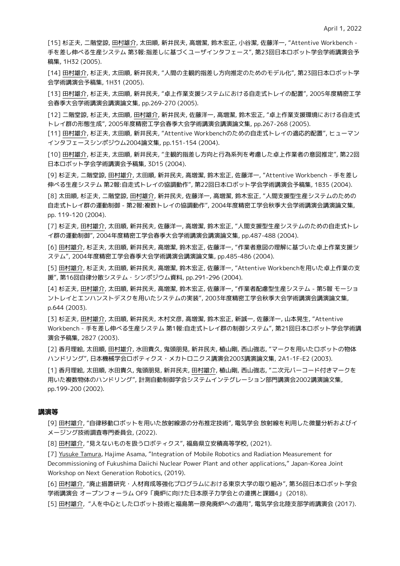[15] 杉正夫, 二階堂諒, 田村雄介, 太田順, 新井民夫, 高増潔, 鈴木宏正, 小谷潔, 佐藤洋一, "Attentive Workbench - 手を差し伸べる生産システム 第3報:指差しに基づくユーザインタフェース", 第23回日本ロボット学会学術講演会予 稿集, 1H32 (2005).

[14] 田村雄介, 杉正夫, 太田順, 新井民夫, "人間の主観的指差し方向推定のためのモデル化", 第23回日本ロボット学 会学術講演会予稿集, 1H31 (2005).

[13] 田村雄介, 杉正夫, 太田順, 新井民夫, "卓上作業支援システムにおける自走式トレイの配置", 2005年度精密工学 会春季大会学術講演会講演論文集, pp.269-270 (2005).

[12] 二階堂諒, 杉正夫, 太田順, 田村雄介, 新井民夫, 佐藤洋一, 高増潔, 鈴木宏正, "卓上作業支援環境における自走式 トレイ群の形態生成", 2005年度精密工学会春季大会学術講演会講演論文集, pp.267-268 (2005).

[11] 田村雄介, 杉正夫, 太田順, 新井民夫, "Attentive Workbenchのための自走式トレイの適応的配置", ヒューマン インタフェースシンポジウム2004論文集, pp.151-154 (2004).

[10] 田村雄介, 杉正夫, 太田順, 新井民夫, "主観的指差し方向と行為系列を考慮した卓上作業者の意図推定", 第22回 日本ロボット学会学術講演会予稿集, 3D15 (2004).

[9] 杉正夫, 二階堂諒, 田村雄介, 太田順, 新井民夫, 高増潔, 鈴木宏正, 佐藤洋一, "Attentive Workbench - 手を差し 伸べる生産システム 第2報:自走式トレイの協調動作", 第22回日本ロボット学会学術講演会予稿集, 1B35 (2004).

[8] 太田順, 杉正夫, 二階堂諒, 田村雄介, 新井民夫, 佐藤洋一, 高増潔, 鈴木宏正, "人間支援型生産システムのための 自走式トレイ群の運動制御 - 第2報:複数トレイの協調動作", 2004年度精密工学会秋季大会学術講演会講演論文集, pp. 119-120 (2004).

[7] 杉正夫, 田村雄介, 太田順, 新井民夫, 佐藤洋一, 高増潔, 鈴木宏正, "人間支援型生産システムのための自走式トレ イ群の運動制御", 2004年度精密工学会春季大会学術講演会講演論文集, pp.487-488 (2004).

[6] 田村雄介, 杉正夫, 太田順, 新井民夫, 高増潔, 鈴木宏正, 佐藤洋一, "作業者意図の理解に基づいた卓上作業支援シ ステム", 2004年度精密工学会春季大会学術講演会講演論文集, pp.485-486 (2004).

[5] 田村雄介, 杉正夫, 太田順, 新井民夫, 高増潔, 鈴木宏正, 佐藤洋一, "Attentive Workbenchを用いた卓上作業の支 援", 第16回自律分散システム・シンポジウム資料, pp.291-296 (2004).

[4] 杉正夫, 田村雄介, 太田順, 新井民夫, 高増潔, 鈴木宏正, 佐藤洋一, "作業者配慮型生産システム - 第5報 モーショ ントレイとエンハンストデスクを用いたシステムの実装", 2003年度精密工学会秋季大会学術講演会講演論文集, p.644 (2003).

[3] 杉正夫, 田村雄介, 太田順, 新井民夫, 木村文彦, 高増潔, 鈴木宏正, 新誠一, 佐藤洋一, 山本晃生, "Attentive Workbench - 手を差し伸べる生産システム 第1報:自走式トレイ群の制御システム", 第21回日本ロボット学会学術講 演会予稿集, 2B27 (2003).

[2] 香月理絵, 太田順, 田村雄介, 水田貴久, 鬼頭朋見, 新井民夫, 植山剛, 西山強志, "マークを用いたロボットの物体 ハンドリング", 日本機械学会ロボティクス・メカトロニクス講演会2003講演論文集, 2A1-1F-E2 (2003).

[1] 香月理絵, 太田順, 水田貴久, 鬼頭朋見, 新井民夫, 田村雄介, 植山剛, 西山強志, "二次元バーコード付きマークを 用いた複数物体のハンドリング", 計測自動制御学会システムインテグレーション部門講演会2002講演論文集, pp.199-200 (2002).

#### **講演等**

[9] 田村雄介, "自律移動ロボットを用いた放射線源の分布推定技術", 電気学会 放射線を利用した微量分析およびイ メージング技術調査専門委員会, (2022).

[8] 田村雄介, "見えないものを扱うロボティクス", 福島県立安積高等学校, (2021).

[7] Yusuke Tamura, Hajime Asama, "Integration of Mobile Robotics and Radiation Measurement for Decommissioning of Fukushima Daiichi Nuclear Power Plant and other applications," Japan-Korea Joint Workshop on Next Generation Robotics, (2019).

[6] 田村雄介, "廃止措置研究・人材育成等強化プログラムにおける東京大学の取り組み", 第36回日本ロボット学会 学術講演会 オープンフォーラム OF9「廃炉に向けた日本原子力学会との連携と課題4」 (2018).

[5] 田村雄介, "人を中心としたロボット技術と福島第一原発廃炉への適用", 電気学会北陸支部学術講演会 (2017).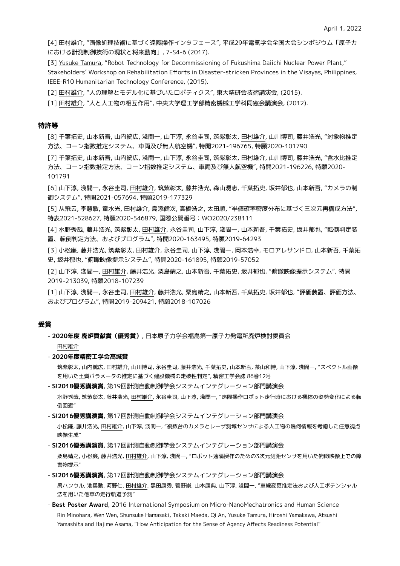[4] 田村雄介, "画像処理技術に基づく遠隔操作インタフェース", 平成29年電気学会全国大会シンポジウム「原子力 における計測制御技術の現状と将来動向」, 7-S4-6 (2017).

[3] Yusuke Tamura, "Robot Technology for Decommissioning of Fukushima Daiichi Nuclear Power Plant," Stakeholders' Workshop on Rehabilitation Efforts in Disaster-stricken Provinces in the Visayas, Philippines, IEEE-R10 Humanitarian Technology Conference, (2015).

[2] 田村雄介, "人の理解とモデル化に基づいたロボティクス", 東大精研会技術講演会, (2015).

[1] 田村雄介, "人と人工物の相互作用", 中央大学理工学部精密機械工学科同窓会講演会, (2012).

#### **特許等**

[8] 千葉拓史, 山本新吾, 山内統広, 淺間一, 山下淳, 永谷圭司, 筑紫彰太, 田村雄介, 山川博司, 藤井浩光, "対象物推定 方法、コーン指数推定システム、車両及び無人航空機", 特開2021-196765, 特願2020-101790

[7] 千葉拓史, 山本新吾, 山内統広, 淺間一, 山下淳, 永谷圭司, 筑紫彰太, 田村雄介, 山川博司, 藤井浩光, "含水比推定 方法、コーン指数推定方法、コーン指数推定システム、車両及び無人航空機", 特開2021-196226, 特願2020- 101791

[6] 山下淳, 淺間一, 永谷圭司, 田村雄介, 筑紫彰太, 藤井浩光, 森山湧志, 千葉拓史, 坂井郁也, 山本新吾, "カメラの制 御システム", 特開2021-057694, 特願2019-177329

[5] 从飛云, 李慧敏, 童水光, 田村雄介, 島添健次, 高橋浩之, 太田順, "半値確率密度分布に基づく三次元再構成方法", 特表2021-528627, 特願2020-546879, 国際公開番号:WO2020/238111

[4] 水野秀哉, 藤井浩光, 筑紫彰太, 田村雄介, 永谷圭司, 山下淳, 淺間一, 山本新吾, 千葉拓史, 坂井郁也, "転倒判定装 置、転倒判定方法、およびプログラム", 特開2020-163495, 特願2019-64293

[3] 小松廉, 藤井浩光, 筑紫彰太, 田村雄介, 永谷圭司, 山下淳, 淺間一, 岡本浩幸, モロアレサンドロ, 山本新吾, 千葉拓 史, 坂井郁也, "俯瞰映像提示システム", 特開2020-161895, 特願2019-57052

[2] 山下淳, 淺間一, 田村雄介, 藤井浩光, 粟島靖之, 山本新吾, 千葉拓史, 坂井郁也, "俯瞰映像提示システム", 特開 2019-213039, 特願2018-107239

[1] 山下淳, 淺間一, 永谷圭司, 田村雄介, 藤井浩光, 粟島靖之, 山本新吾, 千葉拓史, 坂井郁也, "評価装置、評価方法、 およびプログラム", 特開2019-209421, 特願2018-107026

#### **受賞**

- **2020年度 廃炉貢献賞(優秀賞)**, 日本原子力学会福島第一原子力発電所廃炉検討委員会

田村雄介

- **2020年度精密工学会髙城賞** 

筑紫彰太, 山内統広, 田村雄介, 山川博司, 永谷圭司, 藤井浩光, 千葉拓史, 山本新吾, 茶山和博, 山下淳, 淺間一, "スペクトル画像 を用いた土質パラメータの推定に基づく建設機械の走破性判定", 精密工学会誌 86巻12号

- **SI2018優秀講演賞**, 第19回計測自動制御学会システムインテグレーション部門講演会

水野秀哉, 筑紫彰太, 藤井浩光, 田村雄介, 永谷圭司, 山下淳, 淺間一, "遠隔操作ロボット走行時における機体の姿勢変化による転 倒回避"

- **SI2016優秀講演賞**, 第17回計測自動制御学会システムインテグレーション部門講演会

小松廉, 藤井浩光, 田村雄介, 山下淳, 淺間一, "複数台のカメラとレーザ測域センサによる人工物の幾何情報を考慮した任意視点 映像生成"

- **SI2016優秀講演賞**, 第17回計測自動制御学会システムインテグレーション部門講演会

粟島靖之, 小松廉, 藤井浩光, 田村雄介, 山下淳, 淺間一, "ロボット遠隔操作のための3次元測距センサを用いた俯瞰映像上での障 害物提示"

- **SI2016優秀講演賞**, 第17回計測自動制御学会システムインテグレーション部門講演会

禹ハンウル, 池勇勳, 河野仁, 田村雄介, 黒田康秀, 菅野崇, 山本康典, 山下淳, 淺間一, "車線変更推定法および人工ポテンシャル 法を用いた他車の走行軌道予測"

- **Best Poster Award**, 2016 International Symposium on Micro-NanoMechatronics and Human Science Rin Minohara, Wen Wen, Shunsuke Hamasaki, Takaki Maeda, Qi An, Yusuke Tamura, Hiroshi Yamakawa, Atsushi Yamashita and Hajime Asama, "How Anticipation for the Sense of Agency Affects Readiness Potential"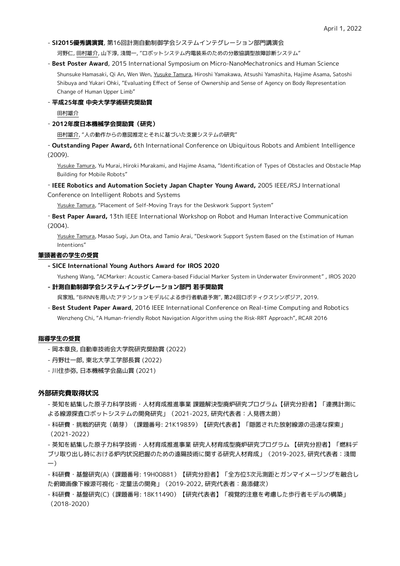#### - **SI2015優秀講演賞**, 第16回計測自動制御学会システムインテグレーション部門講演会

河野仁, 田村雄介, 山下淳, 淺間一, "ロボットシステム内電装系のための分散協調型故障診断システム"

- **Best Poster Award**, 2015 International Symposium on Micro-NanoMechatronics and Human Science Shunsuke Hamasaki, Qi An, Wen Wen, Yusuke Tamura, Hiroshi Yamakawa, Atsushi Yamashita, Hajime Asama, Satoshi Shibuya and Yukari Ohki, "Evaluating Effect of Sense of Ownership and Sense of Agency on Body Representation Change of Human Upper Limb"

#### - **平成25年度 中央大学学術研究奨励賞**

田村雄介

#### - **2012年度日本機械学会奨励賞(研究)**

田村雄介, "人の動作からの意図推定とそれに基づいた支援システムの研究"

- **Outstanding Paper Award,** 6th International Conference on Ubiquitous Robots and Ambient Intelligence (2009).

Yusuke Tamura, Yu Murai, Hiroki Murakami, and Hajime Asama, "Identification of Types of Obstacles and Obstacle Map Building for Mobile Robots"

#### - **IEEE Robotics and Automation Society Japan Chapter Young Award,** 2005 IEEE/RSJ International

Conference on Intelligent Robots and Systems

Yusuke Tamura, "Placement of Self-Moving Trays for the Deskwork Support System"

- **Best Paper Award,** 13th IEEE International Workshop on Robot and Human Interactive Communication (2004).

Yusuke Tamura, Masao Sugi, Jun Ota, and Tamio Arai, "Deskwork Support System Based on the Estimation of Human Intentions"

#### **筆頭著者の学生の受賞**

#### **- SICE International Young Authors Award for IROS 2020**

Yusheng Wang, "ACMarker: Acoustic Camera-based Fiducial Marker System in Underwater Environment" , IROS 2020

#### **- 計測自動制御学会システムインテグレーション部門 若手奨励賞**

呉家旭, "BiRNNを用いたアテンションモデルによる歩行者軌道予測", 第24回ロボティクスシンポジア, 2019.

- **Best Student Paper Award**, 2016 IEEE International Conference on Real-time Computing and Robotics Wenzheng Chi, "A Human-friendly Robot Navigation Algorithm using the Risk-RRT Approach", RCAR 2016

#### **指導学生の受賞**

- 岡本章良, 自動車技術会大学院研究奨励賞 (2022)
- 丹野壮一郎, 東北大学工学部長賞 (2022)
- 川住歩弥, 日本機械学会畠山賞 (2021)

## **外部研究費取得状況**

- 英知を結集した原子力科学技術・人材育成推進事業 課題解決型廃炉研究プログラム【研究分担者】「連携計測に よる線源探査ロボットシステムの開発研究」(2021-2023, 研究代表者:人見啓太朗)
- 科研費・挑戦的研究(萌芽)(課題番号: 21K19839)【研究代表者】「隠匿された放射線源の迅速な探索」 (2021-2022)

- 英知を結集した原子力科学技術・人材育成推進事業 研究人材育成型廃炉研究プログラム 【研究分担者】「燃料デ ブリ取り出し時における炉内状況把握のための遠隔技術に関する研究人材育成」(2019-2023, 研究代表者:淺間 一)

- 科研費・基盤研究(A)(課題番号: 19H00881)【研究分担者】「全方位3次元測距とガンマイメージングを融合し た俯瞰画像下線源可視化・定量法の開発」(2019-2022, 研究代表者:島添健次)

- 科研費・基盤研究(C)(課題番号: 18K11490)【研究代表者】「視覚的注意を考慮した歩行者モデルの構築」 (2018-2020)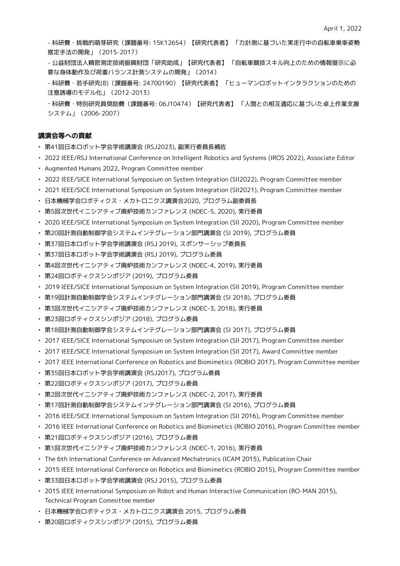- 科研費・挑戦的萌芽研究(課題番号: 15K12654)【研究代表者】 「力計測に基づいた実走行中の自転車乗車姿勢 推定手法の開発」(2015-2017)

- 公益財団法人精密測定技術振興財団「研究助成」【研究代表者】 「自転車競技スキル向上のための情報提示に必 要な身体動作及び荷重バランス計測システムの開発」(2014)

- 科研費・若手研究(B)(課題番号: 24700190)【研究代表者】 「ヒューマンロボットインタラクションのための 注意誘導のモデル化」(2012-2013)

- 科研費・特別研究員奨励費(課題番号: 06J10474)【研究代表者】 「人間との相互適応に基づいた卓上作業支援 システム」(2006-2007)

## **講演会等への貢献**

- 第41回日本ロボット学会学術講演会 (RSJ2023), 副実行委員長補佐
- 2022 IEEE/RSJ International Conference on Intelligent Robotics and Systems (IROS 2022), Associate Editor
- Augmented Humans 2022, Program Committee member
- 2022 IEEE/SICE International Symposium on System Integration (SII2022), Program Committee member
- 2021 IEEE/SICE International Symposium on System Integration (SII2021), Program Committee member

• 日本機械学会ロボティクス・メカトロニクス講演会2020, プログラム副委員長

- 第5回次世代イニシアティブ廃炉技術カンファレンス (NDEC-5, 2020), 実行委員
- 2020 IEEE/SICE International Symposium on System Integration (SII 2020), Program Committee member
- 第20回計測自動制御学会システムインテグレーション部門講演会 (SI 2019), プログラム委員
- 第37回日本ロボット学会学術講演会 (RSJ 2019), スポンサーシップ委員長
- 第37回日本ロボット学会学術講演会 (RSJ 2019), プログラム委員
- 第4回次世代イニシアティブ廃炉技術カンファレンス (NDEC-4, 2019), 実行委員
- 第24回ロボティクスシンポジア (2019), プログラム委員
- 2019 IEEE/SICE International Symposium on System Integration (SII 2019), Program Committee member
- 第19回計測自動制御学会システムインテグレーション部門講演会 (SI 2018), プログラム委員
- 第3回次世代イニシアティブ廃炉技術カンファレンス (NDEC-3, 2018), 実行委員
- 第23回ロボティクスシンポジア (2018), プログラム委員
- 第18回計測自動制御学会システムインテグレーション部門講演会 (SI 2017), プログラム委員
- 2017 IEEE/SICE International Symposium on System Integration (SII 2017), Program Committee member
- 2017 IEEE/SICE International Symposium on System Integration (SII 2017), Award Committee member
- 2017 IEEE International Conference on Robotics and Biomimetics (ROBIO 2017), Program Committee member
- 第35回日本ロボット学会学術講演会 (RSJ2017), プログラム委員
- 第22回ロボティクスシンポジア (2017), プログラム委員
- 第2回次世代イニシアティブ廃炉技術カンファレンス (NDEC-2, 2017), 実行委員
- 第17回計測自動制御学会システムインテグレーション部門講演会 (SI 2016), プログラム委員
- 2016 IEEE/SICE International Symposium on System Integration (SII 2016), Program Committee member
- 2016 IEEE International Conference on Robotics and Biomimetics (ROBIO 2016), Program Committee member
- 第21回ロボティクスシンポジア (2016), プログラム委員
- 第1回次世代イニシアティブ廃炉技術カンファレンス (NDEC-1, 2016), 実行委員
- The 6th International Conference on Advanced Mechatronics (ICAM 2015), Publication Chair
- 2015 IEEE International Conference on Robotics and Biomimetics (ROBIO 2015), Program Committee member
- 第33回日本ロボット学会学術講演会 (RSJ 2015), プログラム委員
- 2015 IEEE International Symposium on Robot and Human Interactive Communication (RO-MAN 2015), Technical Program Committee member
- 日本機械学会ロボティクス・メカトロニクス講演会 2015, プログラム委員
- 第20回ロボティクスシンポジア (2015), プログラム委員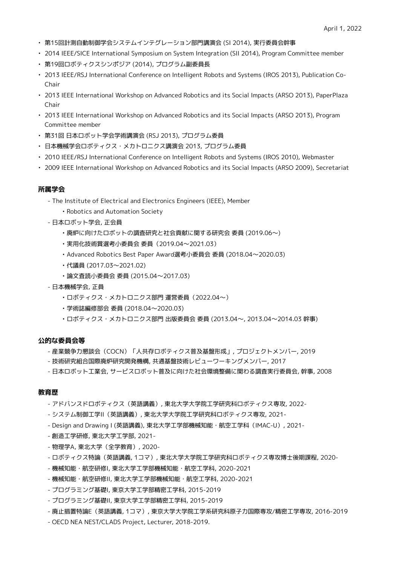- 第15回計測自動制御学会システムインテグレーション部門講演会 (SI 2014), 実行委員会幹事
- 2014 IEEE/SICE International Symposium on System Integration (SII 2014), Program Committee member
- 第19回ロボティクスシンポジア (2014), プログラム副委員長
- 2013 IEEE/RSJ International Conference on Intelligent Robots and Systems (IROS 2013), Publication Co-Chair
- 2013 IEEE International Workshop on Advanced Robotics and its Social Impacts (ARSO 2013), PaperPlaza Chair
- 2013 IEEE International Workshop on Advanced Robotics and its Social Impacts (ARSO 2013), Program Committee member
- 第31回 日本ロボット学会学術講演会 (RSJ 2013), プログラム委員
- 日本機械学会ロボティクス・メカトロニクス講演会 2013, プログラム委員
- 2010 IEEE/RSJ International Conference on Intelligent Robots and Systems (IROS 2010), Webmaster
- 2009 IEEE International Workshop on Advanced Robotics and its Social Impacts (ARSO 2009), Secretariat

# **所属学会**

- The Institute of Electrical and Electronics Engineers (IEEE), Member
	- Robotics and Automation Society
- 日本ロボット学会, 正会員
	- 廃炉に向けたロボットの調査研究と社会貢献に関する研究会 委員 (2019.06〜)
	- 実用化技術賞選考小委員会 委員(2019.04〜2021.03)
	- Advanced Robotics Best Paper Award選考小委員会 委員 (2018.04〜2020.03)
	- 代議員 (2017.03〜2021.02)
	- 論文査読小委員会 委員 (2015.04〜2017.03)
- 日本機械学会, 正員
	- ロボティクス・メカトロニクス部門 運営委員(2022.04〜)
	- 学術誌編修部会 委員 (2018.04〜2020.03)
	- ロボティクス・メカトロニクス部門 出版委員会 委員 (2013.04〜, 2013.04〜2014.03 幹事)

## **公的な委員会等**

- 産業競争力懇談会(COCN)「人共存ロボティクス普及基盤形成」, プロジェクトメンバー, 2019
- 技術研究組合国際廃炉研究開発機構, 共通基盤技術レビューワーキングメンバー, 2017
- 日本ロボット工業会, サービスロボット普及に向けた社会環境整備に関わる調査実行委員会, 幹事, 2008

# **教育歴**

- アドバンスドロボティクス(英語講義), 東北大学大学院工学研究科ロボティクス専攻, 2022-
- システム制御工学II(英語講義), 東北大学大学院工学研究科ロボティクス専攻, 2021-
- Design and Drawing I (英語講義), 東北大学工学部機械知能・航空工学科(IMAC-U), 2021-
- 創造工学研修, 東北大学工学部, 2021-
- 物理学A, 東北大学(全学教育), 2020-
- ロボティクス特論(英語講義, 1コマ), 東北大学大学院工学研究科ロボティクス専攻博士後期課程, 2020-
- 機械知能・航空研修I, 東北大学工学部機械知能・航空工学科, 2020-2021
- 機械知能・航空研修II, 東北大学工学部機械知能・航空工学科, 2020-2021
- プログラミング基礎I, 東京大学工学部精密工学科, 2015-2019
- プログラミング基礎II, 東京大学工学部精密工学科, 2015-2019
- 廃止措置特論E(英語講義, 1コマ), 東京大学大学院工学系研究科原子力国際専攻/精密工学専攻, 2016-2019
- OECD NEA NEST/CLADS Project, Lecturer, 2018-2019.